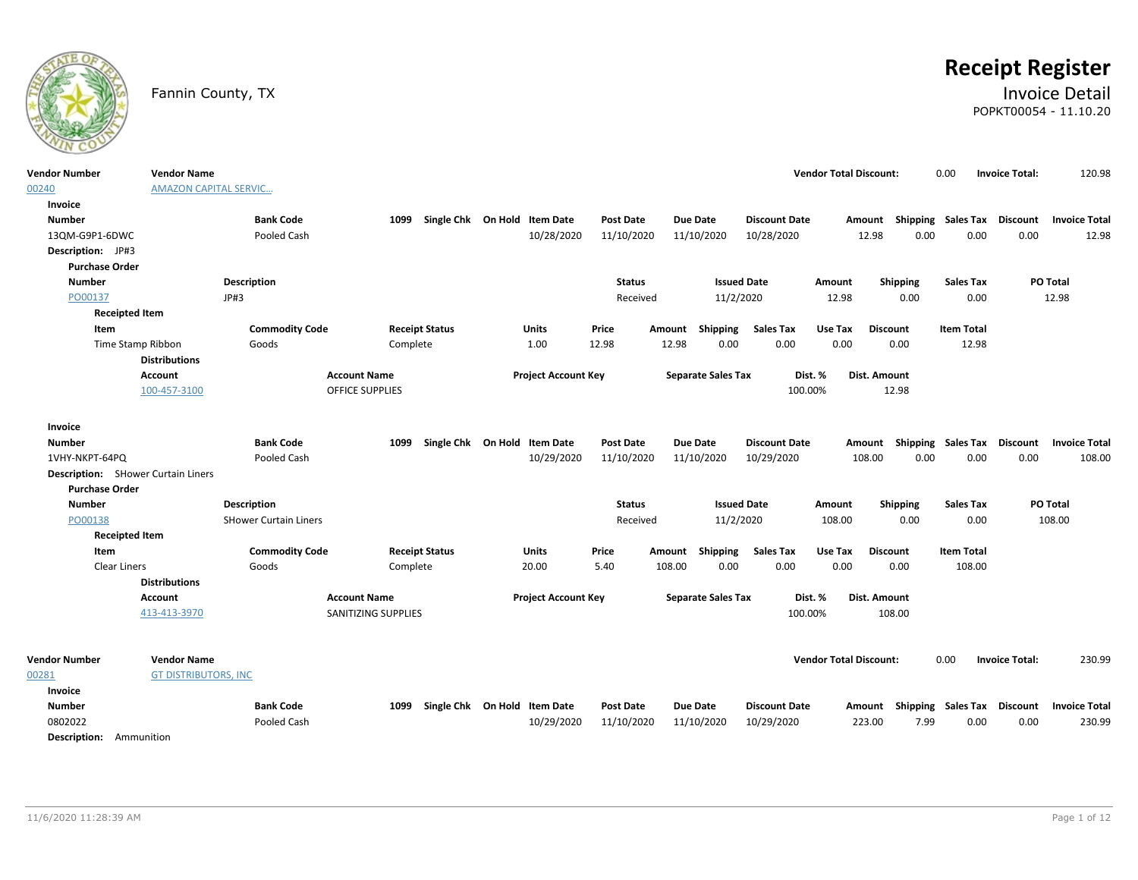

# **Receipt Register**

### Fannin County, TX **Invoice Detail** POPKT00054 - 11.10.20

| <b>Vendor Number</b><br>00240                                      | <b>Vendor Name</b><br><b>AMAZON CAPITAL SERVIC</b> |                              |                       |                              |                  |                           |                      | <b>Vendor Total Discount:</b> |                                                  | 0.00                      | <b>Invoice Total:</b> | 120.98               |
|--------------------------------------------------------------------|----------------------------------------------------|------------------------------|-----------------------|------------------------------|------------------|---------------------------|----------------------|-------------------------------|--------------------------------------------------|---------------------------|-----------------------|----------------------|
| Invoice                                                            |                                                    |                              |                       |                              |                  |                           |                      |                               |                                                  |                           |                       |                      |
| <b>Number</b>                                                      |                                                    | <b>Bank Code</b>             | 1099                  | Single Chk On Hold Item Date | <b>Post Date</b> | <b>Due Date</b>           | <b>Discount Date</b> |                               | Amount Shipping Sales Tax Discount Invoice Total |                           |                       |                      |
| 13QM-G9P1-6DWC                                                     |                                                    | Pooled Cash                  |                       | 10/28/2020                   | 11/10/2020       | 11/10/2020                | 10/28/2020           | 12.98                         | 0.00                                             | 0.00                      | 0.00                  | 12.98                |
| Description: JP#3                                                  |                                                    |                              |                       |                              |                  |                           |                      |                               |                                                  |                           |                       |                      |
| <b>Purchase Order</b>                                              |                                                    |                              |                       |                              |                  |                           |                      |                               |                                                  |                           |                       |                      |
| <b>Number</b>                                                      |                                                    | Description                  |                       |                              | <b>Status</b>    |                           | <b>Issued Date</b>   | Amount                        | Shipping                                         | <b>Sales Tax</b>          | PO Total              |                      |
| PO00137                                                            |                                                    | JP#3                         |                       |                              | Received         | 11/2/2020                 |                      | 12.98                         | 0.00                                             | 0.00                      | 12.98                 |                      |
| <b>Receipted Item</b>                                              |                                                    |                              |                       |                              |                  |                           |                      |                               |                                                  |                           |                       |                      |
| Item                                                               |                                                    | <b>Commodity Code</b>        | <b>Receipt Status</b> | <b>Units</b>                 | Price            | Amount Shipping           | <b>Sales Tax</b>     | Use Tax                       | <b>Discount</b>                                  | <b>Item Total</b>         |                       |                      |
| Time Stamp Ribbon                                                  |                                                    | Goods                        | Complete              | 1.00                         | 12.98            | 12.98<br>0.00             | 0.00                 | 0.00                          | 0.00                                             | 12.98                     |                       |                      |
|                                                                    | <b>Distributions</b>                               |                              |                       |                              |                  |                           |                      |                               |                                                  |                           |                       |                      |
|                                                                    | Account                                            | <b>Account Name</b>          |                       | <b>Project Account Key</b>   |                  | <b>Separate Sales Tax</b> | Dist. %              |                               | Dist. Amount                                     |                           |                       |                      |
|                                                                    | 100-457-3100                                       | <b>OFFICE SUPPLIES</b>       |                       |                              |                  |                           | 100.00%              |                               | 12.98                                            |                           |                       |                      |
|                                                                    |                                                    |                              |                       |                              |                  |                           |                      |                               |                                                  |                           |                       |                      |
| Invoice                                                            |                                                    |                              |                       |                              |                  |                           |                      |                               |                                                  |                           |                       |                      |
| <b>Number</b>                                                      |                                                    | <b>Bank Code</b>             | 1099                  | Single Chk On Hold Item Date | <b>Post Date</b> | <b>Due Date</b>           | <b>Discount Date</b> | Amount                        |                                                  | <b>Shipping Sales Tax</b> | <b>Discount</b>       | <b>Invoice Total</b> |
| 1VHY-NKPT-64PQ                                                     |                                                    | Pooled Cash                  |                       | 10/29/2020                   | 11/10/2020       | 11/10/2020                | 10/29/2020           | 108.00                        | 0.00                                             | 0.00                      | 0.00                  | 108.00               |
| <b>Description:</b> SHower Curtain Liners<br><b>Purchase Order</b> |                                                    |                              |                       |                              |                  |                           |                      |                               |                                                  |                           |                       |                      |
| <b>Number</b>                                                      |                                                    | Description                  |                       |                              | <b>Status</b>    |                           | <b>Issued Date</b>   | Amount                        | Shipping                                         | <b>Sales Tax</b>          | PO Total              |                      |
| PO00138                                                            |                                                    | <b>SHower Curtain Liners</b> |                       |                              | Received         | 11/2/2020                 |                      | 108.00                        | 0.00                                             | 0.00                      | 108.00                |                      |
| <b>Receipted Item</b>                                              |                                                    |                              |                       |                              |                  |                           |                      |                               |                                                  |                           |                       |                      |
| Item                                                               |                                                    | <b>Commodity Code</b>        | <b>Receipt Status</b> | <b>Units</b>                 | Price            | <b>Shipping</b><br>Amount | <b>Sales Tax</b>     | Use Tax                       | <b>Discount</b>                                  | <b>Item Total</b>         |                       |                      |
| Clear Liners                                                       |                                                    | Goods                        | Complete              | 20.00                        | 5.40             | 0.00<br>108.00            | 0.00                 | 0.00                          | 0.00                                             | 108.00                    |                       |                      |
|                                                                    | <b>Distributions</b>                               |                              |                       |                              |                  |                           |                      |                               |                                                  |                           |                       |                      |
|                                                                    | <b>Account</b>                                     | <b>Account Name</b>          |                       | <b>Project Account Key</b>   |                  | <b>Separate Sales Tax</b> | Dist. %              |                               | Dist. Amount                                     |                           |                       |                      |
|                                                                    | 413-413-3970                                       |                              | SANITIZING SUPPLIES   |                              |                  |                           | 100.00%              |                               | 108.00                                           |                           |                       |                      |
|                                                                    |                                                    |                              |                       |                              |                  |                           |                      |                               |                                                  |                           |                       |                      |
| <b>Vendor Number</b>                                               | <b>Vendor Name</b>                                 |                              |                       |                              |                  |                           |                      | <b>Vendor Total Discount:</b> |                                                  | 0.00                      | <b>Invoice Total:</b> | 230.99               |
| 00281                                                              | <b>GT DISTRIBUTORS, INC</b>                        |                              |                       |                              |                  |                           |                      |                               |                                                  |                           |                       |                      |
| Invoice                                                            |                                                    |                              |                       |                              |                  |                           |                      |                               |                                                  |                           |                       |                      |
| <b>Number</b>                                                      |                                                    | <b>Bank Code</b>             | 1099                  | Single Chk On Hold Item Date | <b>Post Date</b> | <b>Due Date</b>           | <b>Discount Date</b> |                               | Amount Shipping Sales Tax                        |                           | <b>Discount</b>       | <b>Invoice Total</b> |
| 0802022                                                            |                                                    | Pooled Cash                  |                       | 10/29/2020                   | 11/10/2020       | 11/10/2020                | 10/29/2020           | 223.00                        | 7.99                                             | 0.00                      | 0.00                  | 230.99               |
| <b>Description:</b> Ammunition                                     |                                                    |                              |                       |                              |                  |                           |                      |                               |                                                  |                           |                       |                      |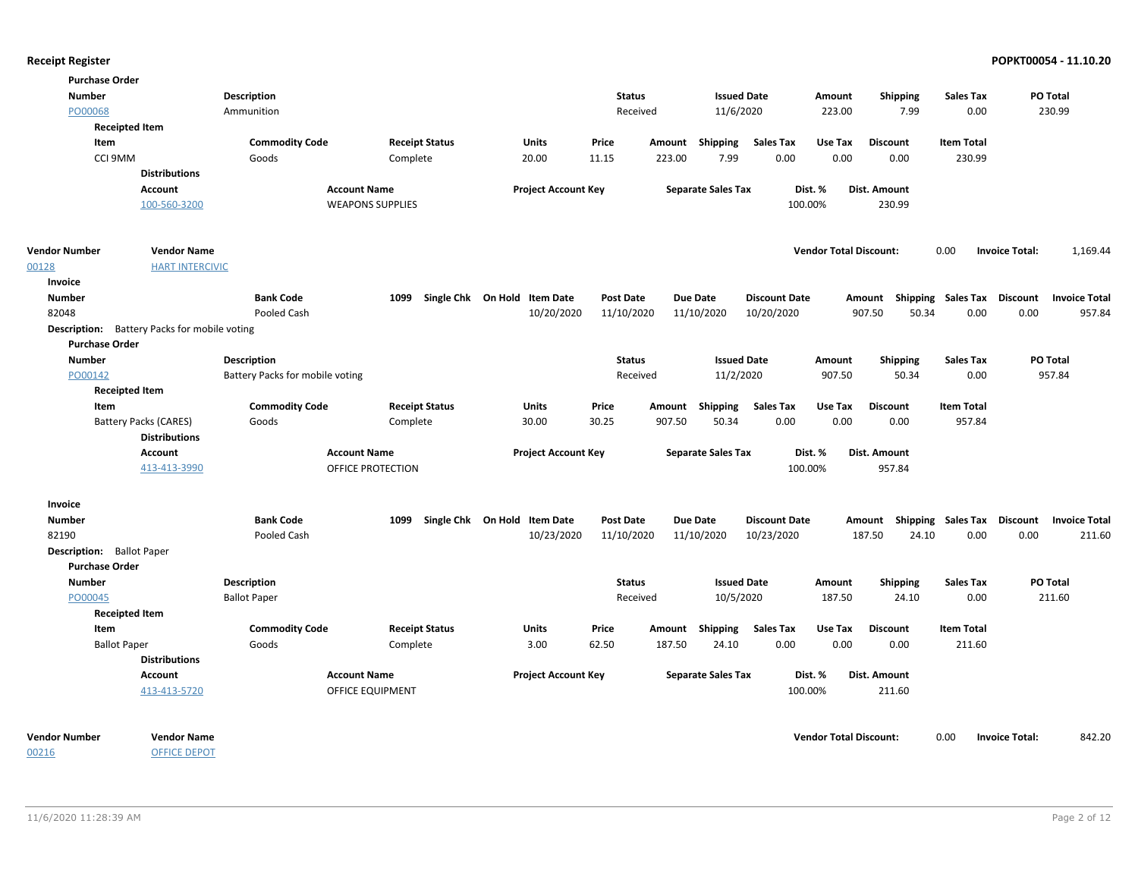| <b>Purchase Order</b>            |                                                     |                                 |                            |                              |                  |        |                           |                      |                               |                           |                   |                                         |
|----------------------------------|-----------------------------------------------------|---------------------------------|----------------------------|------------------------------|------------------|--------|---------------------------|----------------------|-------------------------------|---------------------------|-------------------|-----------------------------------------|
| <b>Number</b>                    |                                                     | Description                     |                            |                              | <b>Status</b>    |        | <b>Issued Date</b>        |                      | Amount                        | <b>Shipping</b>           | <b>Sales Tax</b>  | <b>PO Total</b>                         |
| PO00068                          |                                                     | Ammunition                      |                            |                              | Received         |        | 11/6/2020                 |                      | 223.00                        | 7.99                      | 0.00              | 230.99                                  |
|                                  | <b>Receipted Item</b>                               |                                 |                            |                              |                  |        |                           |                      |                               |                           |                   |                                         |
| Item                             |                                                     | <b>Commodity Code</b>           | <b>Receipt Status</b>      | <b>Units</b>                 | Price            |        | Amount Shipping           | <b>Sales Tax</b>     | Use Tax                       | <b>Discount</b>           | <b>Item Total</b> |                                         |
|                                  | CCI 9MM                                             | Goods                           | Complete                   | 20.00                        | 11.15            | 223.00 | 7.99                      | 0.00                 | 0.00                          | 0.00                      | 230.99            |                                         |
|                                  | <b>Distributions</b>                                |                                 |                            |                              |                  |        |                           |                      |                               |                           |                   |                                         |
|                                  | <b>Account</b>                                      | <b>Account Name</b>             |                            | <b>Project Account Key</b>   |                  |        | <b>Separate Sales Tax</b> |                      | Dist. %                       | Dist. Amount              |                   |                                         |
|                                  | 100-560-3200                                        |                                 | <b>WEAPONS SUPPLIES</b>    |                              |                  |        |                           | 100.00%              |                               | 230.99                    |                   |                                         |
| <b>Vendor Number</b>             | <b>Vendor Name</b>                                  |                                 |                            |                              |                  |        |                           |                      | <b>Vendor Total Discount:</b> |                           | 0.00              | <b>Invoice Total:</b><br>1,169.44       |
| 00128                            | <b>HART INTERCIVIC</b>                              |                                 |                            |                              |                  |        |                           |                      |                               |                           |                   |                                         |
| Invoice                          |                                                     |                                 |                            |                              |                  |        |                           |                      |                               |                           |                   |                                         |
| <b>Number</b>                    |                                                     | <b>Bank Code</b>                | 1099                       | Single Chk On Hold Item Date | <b>Post Date</b> |        | <b>Due Date</b>           | <b>Discount Date</b> |                               | Amount Shipping Sales Tax |                   | <b>Discount</b><br><b>Invoice Total</b> |
| 82048                            |                                                     | Pooled Cash                     |                            | 10/20/2020                   | 11/10/2020       |        | 11/10/2020                | 10/20/2020           |                               | 907.50<br>50.34           | 0.00              | 0.00<br>957.84                          |
|                                  | <b>Description:</b> Battery Packs for mobile voting |                                 |                            |                              |                  |        |                           |                      |                               |                           |                   |                                         |
| <b>Purchase Order</b>            |                                                     |                                 |                            |                              |                  |        |                           |                      |                               |                           |                   |                                         |
| <b>Number</b>                    |                                                     | <b>Description</b>              |                            |                              | <b>Status</b>    |        | <b>Issued Date</b>        |                      | Amount                        | <b>Shipping</b>           | <b>Sales Tax</b>  | PO Total                                |
| PO00142                          |                                                     | Battery Packs for mobile voting |                            |                              | Received         |        | 11/2/2020                 |                      | 907.50                        | 50.34                     | 0.00              | 957.84                                  |
|                                  | <b>Receipted Item</b>                               |                                 |                            |                              |                  |        |                           |                      |                               |                           |                   |                                         |
| Item                             |                                                     | <b>Commodity Code</b>           | <b>Receipt Status</b>      | Units                        | Price            | Amount | <b>Shipping</b>           | <b>Sales Tax</b>     | Use Tax                       | <b>Discount</b>           | <b>Item Total</b> |                                         |
|                                  | Battery Packs (CARES)<br><b>Distributions</b>       | Goods                           | Complete                   | 30.00                        | 30.25            | 907.50 | 50.34                     | 0.00                 | 0.00                          | 0.00                      | 957.84            |                                         |
|                                  | Account                                             | <b>Account Name</b>             |                            | <b>Project Account Key</b>   |                  |        | <b>Separate Sales Tax</b> |                      | Dist. %                       | Dist. Amount              |                   |                                         |
|                                  | 413-413-3990                                        |                                 | OFFICE PROTECTION          |                              |                  |        |                           | 100.00%              |                               | 957.84                    |                   |                                         |
| Invoice                          |                                                     |                                 |                            |                              |                  |        |                           |                      |                               |                           |                   |                                         |
| Number                           |                                                     | <b>Bank Code</b>                | 1099<br>Single Chk On Hold | <b>Item Date</b>             | <b>Post Date</b> |        | <b>Due Date</b>           | <b>Discount Date</b> |                               | Amount Shipping Sales Tax |                   | Discount<br><b>Invoice Total</b>        |
| 82190                            |                                                     | Pooled Cash                     |                            | 10/23/2020                   | 11/10/2020       |        | 11/10/2020                | 10/23/2020           |                               | 24.10<br>187.50           | 0.00              | 0.00<br>211.60                          |
| <b>Description:</b> Ballot Paper |                                                     |                                 |                            |                              |                  |        |                           |                      |                               |                           |                   |                                         |
| <b>Purchase Order</b>            |                                                     |                                 |                            |                              |                  |        |                           |                      |                               |                           |                   |                                         |
| <b>Number</b>                    |                                                     | Description                     |                            |                              | <b>Status</b>    |        | <b>Issued Date</b>        |                      | Amount                        | <b>Shipping</b>           | <b>Sales Tax</b>  | PO Total                                |
| PO00045                          |                                                     | <b>Ballot Paper</b>             |                            |                              | Received         |        | 10/5/2020                 |                      | 187.50                        | 24.10                     | 0.00              | 211.60                                  |
|                                  | <b>Receipted Item</b>                               |                                 |                            |                              |                  |        |                           |                      |                               |                           |                   |                                         |
| Item                             |                                                     | <b>Commodity Code</b>           | <b>Receipt Status</b>      | Units                        | Price            | Amount | <b>Shipping</b>           | <b>Sales Tax</b>     | Use Tax                       | <b>Discount</b>           | <b>Item Total</b> |                                         |
|                                  | <b>Ballot Paper</b>                                 | Goods                           | Complete                   | 3.00                         | 62.50            | 187.50 | 24.10                     | 0.00                 | 0.00                          | 0.00                      | 211.60            |                                         |
|                                  | <b>Distributions</b>                                |                                 |                            |                              |                  |        |                           |                      |                               |                           |                   |                                         |
|                                  | Account                                             | <b>Account Name</b>             |                            | <b>Project Account Key</b>   |                  |        | <b>Separate Sales Tax</b> |                      | Dist. %                       | Dist. Amount              |                   |                                         |
|                                  | 413-413-5720                                        |                                 | <b>OFFICE EQUIPMENT</b>    |                              |                  |        |                           | 100.00%              |                               | 211.60                    |                   |                                         |
| <b>Vendor Number</b>             | <b>Vendor Name</b>                                  |                                 |                            |                              |                  |        |                           |                      | <b>Vendor Total Discount:</b> |                           | 0.00              | 842.20<br><b>Invoice Total:</b>         |
| 00216                            | <b>OFFICE DEPOT</b>                                 |                                 |                            |                              |                  |        |                           |                      |                               |                           |                   |                                         |

11/6/2020 11:28:39 AM Page 2 of 12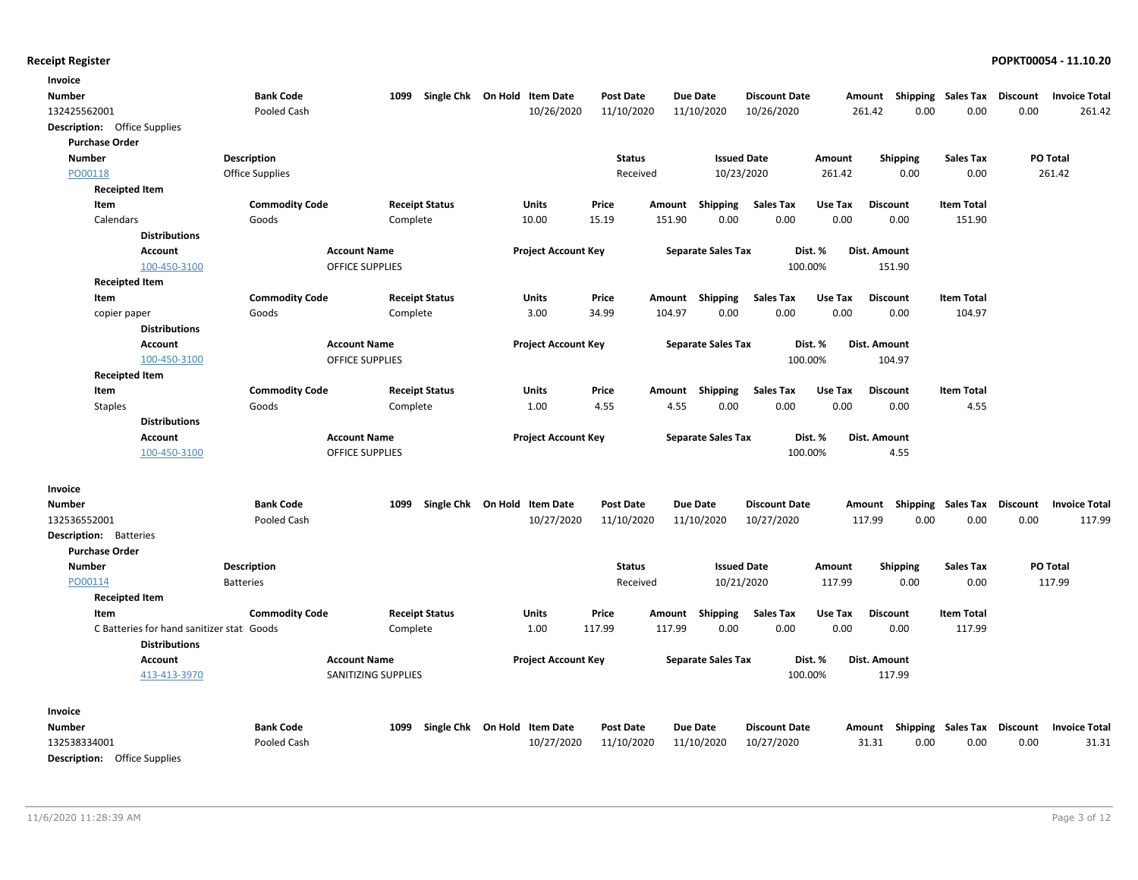| Invoice                                                            |                        |                        |                              |                  |                 |                           |                      |         |                           |                   |                 |                      |
|--------------------------------------------------------------------|------------------------|------------------------|------------------------------|------------------|-----------------|---------------------------|----------------------|---------|---------------------------|-------------------|-----------------|----------------------|
| Number                                                             | <b>Bank Code</b>       | 1099                   | Single Chk On Hold Item Date | <b>Post Date</b> | <b>Due Date</b> |                           | <b>Discount Date</b> |         | Amount Shipping Sales Tax |                   | <b>Discount</b> | <b>Invoice Total</b> |
| 132425562001                                                       | Pooled Cash            |                        | 10/26/2020                   | 11/10/2020       | 11/10/2020      |                           | 10/26/2020           |         | 261.42<br>0.00            | 0.00              | 0.00            | 261.42               |
| <b>Description:</b> Office Supplies                                |                        |                        |                              |                  |                 |                           |                      |         |                           |                   |                 |                      |
| <b>Purchase Order</b>                                              |                        |                        |                              |                  |                 |                           |                      |         |                           |                   |                 |                      |
| <b>Number</b>                                                      | <b>Description</b>     |                        |                              | <b>Status</b>    |                 | <b>Issued Date</b>        |                      | Amount  | <b>Shipping</b>           | <b>Sales Tax</b>  |                 | PO Total             |
| PO00118                                                            | <b>Office Supplies</b> |                        |                              | Received         |                 | 10/23/2020                |                      | 261.42  | 0.00                      | 0.00              |                 | 261.42               |
| <b>Receipted Item</b>                                              |                        |                        |                              |                  |                 |                           |                      |         |                           |                   |                 |                      |
| Item                                                               | <b>Commodity Code</b>  | <b>Receipt Status</b>  | Units                        | Price            | Amount          | <b>Shipping</b>           | <b>Sales Tax</b>     | Use Tax | <b>Discount</b>           | <b>Item Total</b> |                 |                      |
| Calendars                                                          | Goods                  | Complete               | 10.00                        | 15.19            | 151.90          | 0.00                      | 0.00                 | 0.00    | 0.00                      | 151.90            |                 |                      |
| <b>Distributions</b>                                               |                        |                        |                              |                  |                 |                           |                      |         |                           |                   |                 |                      |
| Account                                                            |                        | <b>Account Name</b>    | <b>Project Account Key</b>   |                  |                 | <b>Separate Sales Tax</b> | Dist. %              |         | Dist. Amount              |                   |                 |                      |
| 100-450-3100                                                       |                        | <b>OFFICE SUPPLIES</b> |                              |                  |                 |                           | 100.00%              |         | 151.90                    |                   |                 |                      |
| <b>Receipted Item</b>                                              |                        |                        |                              |                  |                 |                           |                      |         |                           |                   |                 |                      |
| Item                                                               | <b>Commodity Code</b>  | <b>Receipt Status</b>  | Units                        | Price            | Amount          | Shipping                  | <b>Sales Tax</b>     | Use Tax | <b>Discount</b>           | <b>Item Total</b> |                 |                      |
| copier paper                                                       | Goods                  | Complete               | 3.00                         | 34.99            | 104.97          | 0.00                      | 0.00                 | 0.00    | 0.00                      | 104.97            |                 |                      |
| <b>Distributions</b>                                               |                        |                        |                              |                  |                 |                           |                      |         |                           |                   |                 |                      |
| <b>Account</b>                                                     |                        | <b>Account Name</b>    | <b>Project Account Key</b>   |                  |                 | <b>Separate Sales Tax</b> | Dist. %              |         | Dist. Amount              |                   |                 |                      |
| 100-450-3100                                                       |                        | <b>OFFICE SUPPLIES</b> |                              |                  |                 |                           | 100.00%              |         | 104.97                    |                   |                 |                      |
| <b>Receipted Item</b>                                              |                        |                        |                              |                  |                 |                           |                      |         |                           |                   |                 |                      |
| Item                                                               | <b>Commodity Code</b>  | <b>Receipt Status</b>  | Units                        | Price            | Amount          | <b>Shipping</b>           | <b>Sales Tax</b>     | Use Tax | <b>Discount</b>           | <b>Item Total</b> |                 |                      |
| <b>Staples</b>                                                     | Goods                  | Complete               | 1.00                         | 4.55             | 4.55            | 0.00                      | 0.00                 | 0.00    | 0.00                      | 4.55              |                 |                      |
| <b>Distributions</b>                                               |                        |                        |                              |                  |                 |                           |                      |         |                           |                   |                 |                      |
| <b>Account</b>                                                     |                        | <b>Account Name</b>    | <b>Project Account Key</b>   |                  |                 | <b>Separate Sales Tax</b> | Dist. %              |         | Dist. Amount              |                   |                 |                      |
| 100-450-3100                                                       |                        | <b>OFFICE SUPPLIES</b> |                              |                  |                 |                           | 100.00%              |         | 4.55                      |                   |                 |                      |
| Invoice                                                            |                        |                        |                              |                  |                 |                           |                      |         |                           |                   |                 |                      |
| <b>Number</b>                                                      | <b>Bank Code</b>       | 1099                   | Single Chk On Hold Item Date | <b>Post Date</b> | <b>Due Date</b> |                           | <b>Discount Date</b> |         | Amount Shipping Sales Tax |                   | Discount        | <b>Invoice Total</b> |
| 132536552001                                                       | Pooled Cash            |                        | 10/27/2020                   | 11/10/2020       | 11/10/2020      |                           | 10/27/2020           |         | 117.99<br>0.00            | 0.00              | 0.00            | 117.99               |
| <b>Description:</b> Batteries                                      |                        |                        |                              |                  |                 |                           |                      |         |                           |                   |                 |                      |
| <b>Purchase Order</b>                                              |                        |                        |                              |                  |                 |                           |                      |         |                           |                   |                 |                      |
| <b>Number</b>                                                      | <b>Description</b>     |                        |                              | <b>Status</b>    |                 | <b>Issued Date</b>        |                      | Amount  | <b>Shipping</b>           | <b>Sales Tax</b>  |                 | PO Total             |
| PO00114                                                            | <b>Batteries</b>       |                        |                              | Received         |                 | 10/21/2020                |                      | 117.99  | 0.00                      | 0.00              |                 | 117.99               |
| <b>Receipted Item</b>                                              |                        |                        |                              |                  |                 |                           |                      |         |                           |                   |                 |                      |
| Item                                                               | <b>Commodity Code</b>  | <b>Receipt Status</b>  | <b>Units</b>                 | Price            | Amount          | Shipping                  | <b>Sales Tax</b>     | Use Tax | <b>Discount</b>           | <b>Item Total</b> |                 |                      |
| C Batteries for hand sanitizer stati Goods<br><b>Distributions</b> |                        | Complete               | 1.00                         | 117.99           | 117.99          | 0.00                      | 0.00                 | 0.00    | 0.00                      | 117.99            |                 |                      |
| <b>Account</b>                                                     |                        | <b>Account Name</b>    | <b>Project Account Key</b>   |                  |                 | <b>Separate Sales Tax</b> | Dist. %              |         | Dist. Amount              |                   |                 |                      |
| 413-413-3970                                                       |                        | SANITIZING SUPPLIES    |                              |                  |                 |                           | 100.00%              |         | 117.99                    |                   |                 |                      |
| Invoice                                                            |                        |                        |                              |                  |                 |                           |                      |         |                           |                   |                 |                      |
| Number                                                             | <b>Bank Code</b>       | 1099                   | Single Chk On Hold Item Date | <b>Post Date</b> | <b>Due Date</b> |                           | <b>Discount Date</b> |         | Amount Shipping Sales Tax |                   | Discount        | <b>Invoice Total</b> |
| 132538334001                                                       | Pooled Cash            |                        | 10/27/2020                   | 11/10/2020       | 11/10/2020      |                           | 10/27/2020           |         | 31.31<br>0.00             | 0.00              | 0.00            | 31.31                |
| <b>Description:</b> Office Supplies                                |                        |                        |                              |                  |                 |                           |                      |         |                           |                   |                 |                      |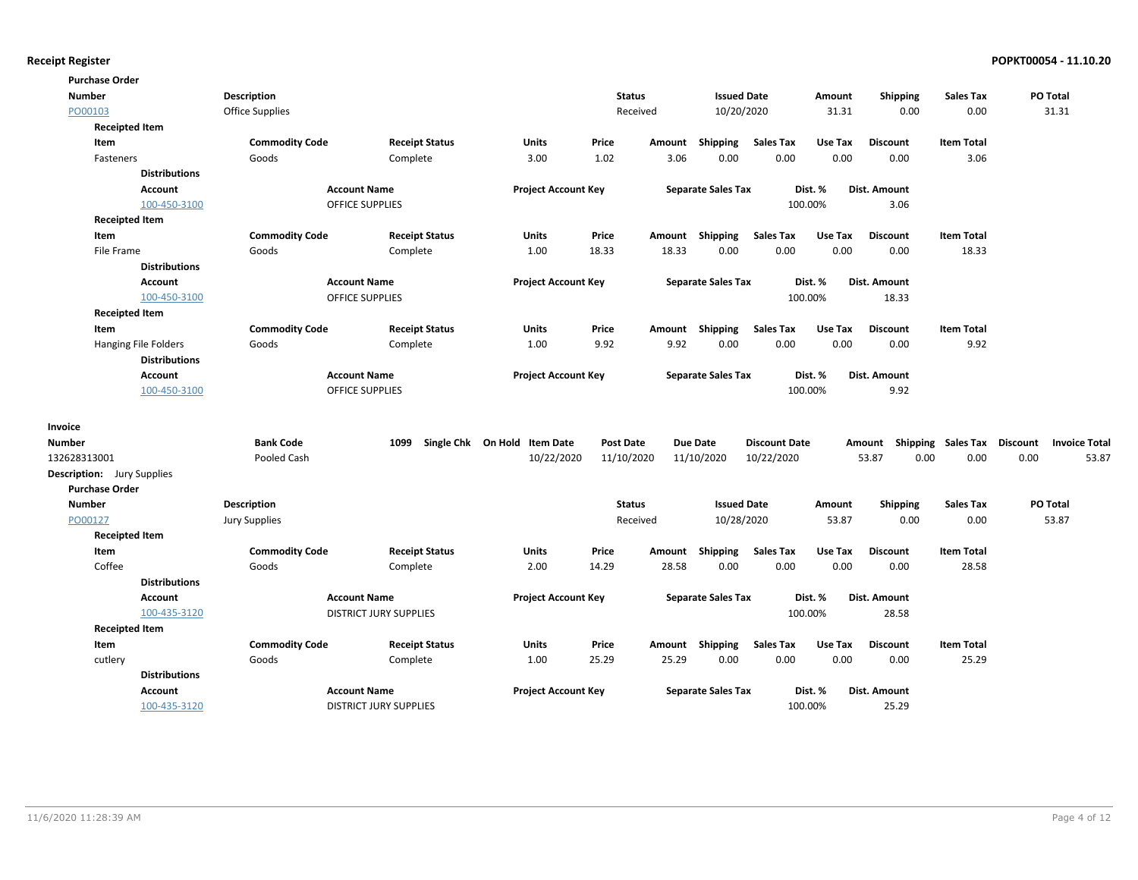| <b>Purchase Order</b>             |                        |                               |                              |                  |        |                           |                      |         |                 |                   |                                                  |       |
|-----------------------------------|------------------------|-------------------------------|------------------------------|------------------|--------|---------------------------|----------------------|---------|-----------------|-------------------|--------------------------------------------------|-------|
| <b>Number</b>                     | <b>Description</b>     |                               |                              | <b>Status</b>    |        | <b>Issued Date</b>        |                      | Amount  | <b>Shipping</b> | <b>Sales Tax</b>  | PO Total                                         |       |
| PO00103                           | <b>Office Supplies</b> |                               |                              | Received         |        | 10/20/2020                |                      | 31.31   | 0.00            | 0.00              | 31.31                                            |       |
| <b>Receipted Item</b>             |                        |                               |                              |                  |        |                           |                      |         |                 |                   |                                                  |       |
| Item                              | <b>Commodity Code</b>  | <b>Receipt Status</b>         | Units                        | Price            | Amount | <b>Shipping</b>           | <b>Sales Tax</b>     | Use Tax | <b>Discount</b> | <b>Item Total</b> |                                                  |       |
| Fasteners                         | Goods                  | Complete                      | 3.00                         | 1.02             | 3.06   | 0.00                      | 0.00                 | 0.00    | 0.00            | 3.06              |                                                  |       |
| <b>Distributions</b>              |                        |                               |                              |                  |        |                           |                      |         |                 |                   |                                                  |       |
| Account                           |                        | <b>Account Name</b>           | <b>Project Account Key</b>   |                  |        | <b>Separate Sales Tax</b> |                      | Dist. % | Dist. Amount    |                   |                                                  |       |
| 100-450-3100                      |                        | <b>OFFICE SUPPLIES</b>        |                              |                  |        |                           |                      | 100.00% | 3.06            |                   |                                                  |       |
| <b>Receipted Item</b>             |                        |                               |                              |                  |        |                           |                      |         |                 |                   |                                                  |       |
| Item                              | <b>Commodity Code</b>  | <b>Receipt Status</b>         | Units                        | Price            | Amount | Shipping                  | <b>Sales Tax</b>     | Use Tax | <b>Discount</b> | <b>Item Total</b> |                                                  |       |
| File Frame                        | Goods                  | Complete                      | 1.00                         | 18.33            | 18.33  | 0.00                      | 0.00                 | 0.00    | 0.00            | 18.33             |                                                  |       |
| <b>Distributions</b>              |                        |                               |                              |                  |        |                           |                      |         |                 |                   |                                                  |       |
| Account                           |                        | <b>Account Name</b>           | <b>Project Account Key</b>   |                  |        | <b>Separate Sales Tax</b> |                      | Dist. % | Dist. Amount    |                   |                                                  |       |
| 100-450-3100                      |                        | <b>OFFICE SUPPLIES</b>        |                              |                  |        |                           |                      | 100.00% | 18.33           |                   |                                                  |       |
| <b>Receipted Item</b>             |                        |                               |                              |                  |        |                           |                      |         |                 |                   |                                                  |       |
| Item                              | <b>Commodity Code</b>  | <b>Receipt Status</b>         | Units                        | Price            | Amount | Shipping                  | <b>Sales Tax</b>     | Use Tax | <b>Discount</b> | <b>Item Total</b> |                                                  |       |
| Hanging File Folders              | Goods                  | Complete                      | 1.00                         | 9.92             | 9.92   | 0.00                      | 0.00                 | 0.00    | 0.00            | 9.92              |                                                  |       |
| <b>Distributions</b>              |                        |                               |                              |                  |        |                           |                      |         |                 |                   |                                                  |       |
| Account                           |                        | <b>Account Name</b>           | <b>Project Account Key</b>   |                  |        | <b>Separate Sales Tax</b> |                      | Dist. % | Dist. Amount    |                   |                                                  |       |
| 100-450-3100                      |                        | <b>OFFICE SUPPLIES</b>        |                              |                  |        |                           |                      | 100.00% | 9.92            |                   |                                                  |       |
| Invoice                           |                        |                               |                              |                  |        |                           |                      |         |                 |                   |                                                  |       |
| Number                            | <b>Bank Code</b>       | 1099                          | Single Chk On Hold Item Date | <b>Post Date</b> |        | <b>Due Date</b>           | <b>Discount Date</b> |         |                 |                   | Amount Shipping Sales Tax Discount Invoice Total |       |
| 132628313001                      | Pooled Cash            |                               | 10/22/2020                   | 11/10/2020       |        | 11/10/2020                | 10/22/2020           |         | 53.87<br>0.00   | 0.00              | 0.00                                             | 53.87 |
| <b>Description:</b> Jury Supplies |                        |                               |                              |                  |        |                           |                      |         |                 |                   |                                                  |       |
| <b>Purchase Order</b>             |                        |                               |                              |                  |        |                           |                      |         |                 |                   |                                                  |       |
| <b>Number</b>                     | <b>Description</b>     |                               |                              | <b>Status</b>    |        | <b>Issued Date</b>        |                      | Amount  | <b>Shipping</b> | <b>Sales Tax</b>  | PO Total                                         |       |
| PO00127                           | <b>Jury Supplies</b>   |                               |                              | Received         |        | 10/28/2020                |                      | 53.87   | 0.00            | 0.00              | 53.87                                            |       |
| <b>Receipted Item</b>             |                        |                               |                              |                  |        |                           |                      |         |                 |                   |                                                  |       |
| Item                              | <b>Commodity Code</b>  | <b>Receipt Status</b>         | Units                        | Price            | Amount | <b>Shipping</b>           | <b>Sales Tax</b>     | Use Tax | <b>Discount</b> | <b>Item Total</b> |                                                  |       |
| Coffee                            | Goods                  | Complete                      | 2.00                         | 14.29            | 28.58  | 0.00                      | 0.00                 | 0.00    | 0.00            | 28.58             |                                                  |       |
| <b>Distributions</b>              |                        |                               |                              |                  |        |                           |                      |         |                 |                   |                                                  |       |
| Account                           |                        | <b>Account Name</b>           | <b>Project Account Key</b>   |                  |        | <b>Separate Sales Tax</b> |                      | Dist. % | Dist. Amount    |                   |                                                  |       |
| 100-435-3120                      |                        | <b>DISTRICT JURY SUPPLIES</b> |                              |                  |        |                           |                      | 100.00% | 28.58           |                   |                                                  |       |
| <b>Receipted Item</b>             |                        |                               |                              |                  |        |                           |                      |         |                 |                   |                                                  |       |
| Item                              | <b>Commodity Code</b>  | <b>Receipt Status</b>         | Units                        | Price            | Amount | Shipping                  | <b>Sales Tax</b>     | Use Tax | <b>Discount</b> | <b>Item Total</b> |                                                  |       |
| cutlery                           | Goods                  | Complete                      | 1.00                         | 25.29            | 25.29  | 0.00                      | 0.00                 | 0.00    | 0.00            | 25.29             |                                                  |       |
| <b>Distributions</b>              |                        |                               |                              |                  |        |                           |                      |         |                 |                   |                                                  |       |
| Account                           |                        | <b>Account Name</b>           | <b>Project Account Key</b>   |                  |        | <b>Separate Sales Tax</b> |                      | Dist. % | Dist. Amount    |                   |                                                  |       |
| 100-435-3120                      |                        | <b>DISTRICT JURY SUPPLIES</b> |                              |                  |        |                           |                      | 100.00% | 25.29           |                   |                                                  |       |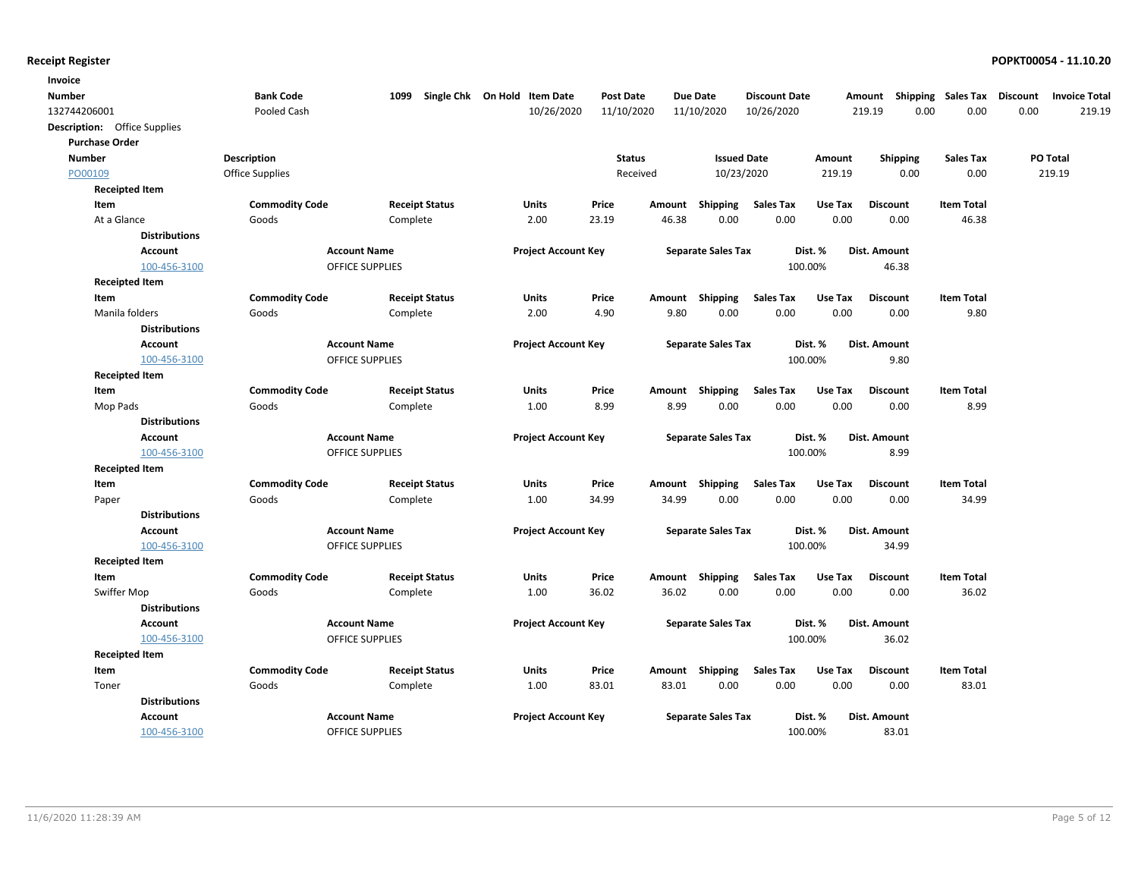| Invoice                             |                       |                        |                                   |                  |        |                           |                      |         |                 |                    |                                         |
|-------------------------------------|-----------------------|------------------------|-----------------------------------|------------------|--------|---------------------------|----------------------|---------|-----------------|--------------------|-----------------------------------------|
| Number                              | <b>Bank Code</b>      |                        | 1099 Single Chk On Hold Item Date | <b>Post Date</b> |        | <b>Due Date</b>           | <b>Discount Date</b> |         | Amount          | Shipping Sales Tax | <b>Discount</b><br><b>Invoice Total</b> |
| 132744206001                        | Pooled Cash           |                        | 10/26/2020                        | 11/10/2020       |        | 11/10/2020                | 10/26/2020           |         | 219.19<br>0.00  | 0.00               | 0.00<br>219.19                          |
| <b>Description:</b> Office Supplies |                       |                        |                                   |                  |        |                           |                      |         |                 |                    |                                         |
| <b>Purchase Order</b>               |                       |                        |                                   |                  |        |                           |                      |         |                 |                    |                                         |
| <b>Number</b>                       | Description           |                        |                                   | <b>Status</b>    |        | <b>Issued Date</b>        |                      | Amount  | <b>Shipping</b> | <b>Sales Tax</b>   | PO Total                                |
| PO00109                             | Office Supplies       |                        |                                   | Received         |        | 10/23/2020                |                      | 219.19  | 0.00            | 0.00               | 219.19                                  |
| <b>Receipted Item</b>               |                       |                        |                                   |                  |        |                           |                      |         |                 |                    |                                         |
| Item                                | <b>Commodity Code</b> | <b>Receipt Status</b>  | Units                             | Price            | Amount | Shipping                  | <b>Sales Tax</b>     | Use Tax | <b>Discount</b> | <b>Item Total</b>  |                                         |
| At a Glance                         | Goods                 | Complete               | 2.00                              | 23.19            | 46.38  | 0.00                      | 0.00                 | 0.00    | 0.00            | 46.38              |                                         |
| <b>Distributions</b>                |                       |                        |                                   |                  |        |                           |                      |         |                 |                    |                                         |
| <b>Account</b>                      |                       | <b>Account Name</b>    | <b>Project Account Key</b>        |                  |        | <b>Separate Sales Tax</b> |                      | Dist. % | Dist. Amount    |                    |                                         |
| 100-456-3100                        |                       | <b>OFFICE SUPPLIES</b> |                                   |                  |        |                           | 100.00%              |         | 46.38           |                    |                                         |
| <b>Receipted Item</b>               |                       |                        |                                   |                  |        |                           |                      |         |                 |                    |                                         |
| Item                                | <b>Commodity Code</b> | <b>Receipt Status</b>  | Units                             | Price            |        | Amount Shipping           | <b>Sales Tax</b>     | Use Tax | <b>Discount</b> | <b>Item Total</b>  |                                         |
| Manila folders                      | Goods                 | Complete               | 2.00                              | 4.90             | 9.80   | 0.00                      | 0.00                 | 0.00    | 0.00            | 9.80               |                                         |
| <b>Distributions</b>                |                       |                        |                                   |                  |        |                           |                      |         |                 |                    |                                         |
| <b>Account</b>                      |                       | <b>Account Name</b>    | <b>Project Account Key</b>        |                  |        | <b>Separate Sales Tax</b> |                      | Dist. % | Dist. Amount    |                    |                                         |
| 100-456-3100                        |                       | <b>OFFICE SUPPLIES</b> |                                   |                  |        |                           | 100.00%              |         | 9.80            |                    |                                         |
| <b>Receipted Item</b>               |                       |                        |                                   |                  |        |                           |                      |         |                 |                    |                                         |
| Item                                | <b>Commodity Code</b> | <b>Receipt Status</b>  | Units                             | Price            |        | Amount Shipping           | <b>Sales Tax</b>     | Use Tax | <b>Discount</b> | <b>Item Total</b>  |                                         |
| Mop Pads                            | Goods                 | Complete               | 1.00                              | 8.99             | 8.99   | 0.00                      | 0.00                 | 0.00    | 0.00            | 8.99               |                                         |
| <b>Distributions</b>                |                       |                        |                                   |                  |        |                           |                      |         |                 |                    |                                         |
| <b>Account</b>                      |                       | <b>Account Name</b>    | <b>Project Account Key</b>        |                  |        | <b>Separate Sales Tax</b> |                      | Dist. % | Dist. Amount    |                    |                                         |
| 100-456-3100                        |                       | <b>OFFICE SUPPLIES</b> |                                   |                  |        |                           | 100.00%              |         | 8.99            |                    |                                         |
| <b>Receipted Item</b>               |                       |                        |                                   |                  |        |                           |                      |         |                 |                    |                                         |
| Item                                | <b>Commodity Code</b> | <b>Receipt Status</b>  | Units                             | Price            | Amount | Shipping                  | <b>Sales Tax</b>     | Use Tax | <b>Discount</b> | <b>Item Total</b>  |                                         |
| Paper                               | Goods                 | Complete               | 1.00                              | 34.99            | 34.99  | 0.00                      | 0.00                 | 0.00    | 0.00            | 34.99              |                                         |
| <b>Distributions</b>                |                       |                        |                                   |                  |        |                           |                      |         |                 |                    |                                         |
| <b>Account</b>                      |                       | <b>Account Name</b>    | <b>Project Account Key</b>        |                  |        | <b>Separate Sales Tax</b> |                      | Dist. % | Dist. Amount    |                    |                                         |
| 100-456-3100                        |                       | <b>OFFICE SUPPLIES</b> |                                   |                  |        |                           | 100.00%              |         | 34.99           |                    |                                         |
| <b>Receipted Item</b>               |                       |                        |                                   |                  |        |                           |                      |         |                 |                    |                                         |
| Item                                | <b>Commodity Code</b> | <b>Receipt Status</b>  | Units                             | Price            | Amount | Shipping                  | <b>Sales Tax</b>     | Use Tax | <b>Discount</b> | <b>Item Total</b>  |                                         |
| Swiffer Mop                         | Goods                 | Complete               | 1.00                              | 36.02            | 36.02  | 0.00                      | 0.00                 | 0.00    | 0.00            | 36.02              |                                         |
| <b>Distributions</b>                |                       |                        |                                   |                  |        |                           |                      |         |                 |                    |                                         |
| Account                             |                       | <b>Account Name</b>    | <b>Project Account Key</b>        |                  |        | <b>Separate Sales Tax</b> |                      | Dist. % | Dist. Amount    |                    |                                         |
| 100-456-3100                        |                       | <b>OFFICE SUPPLIES</b> |                                   |                  |        |                           | 100.00%              |         | 36.02           |                    |                                         |
| <b>Receipted Item</b>               |                       |                        |                                   |                  |        |                           |                      |         |                 |                    |                                         |
| Item                                | <b>Commodity Code</b> | <b>Receipt Status</b>  | Units                             | Price            | Amount | Shipping                  | <b>Sales Tax</b>     | Use Tax | <b>Discount</b> | <b>Item Total</b>  |                                         |
| Toner                               | Goods                 | Complete               | 1.00                              | 83.01            | 83.01  | 0.00                      | 0.00                 | 0.00    | 0.00            | 83.01              |                                         |
| <b>Distributions</b>                |                       |                        |                                   |                  |        |                           |                      |         |                 |                    |                                         |
| <b>Account</b>                      |                       | <b>Account Name</b>    | <b>Project Account Key</b>        |                  |        | <b>Separate Sales Tax</b> |                      | Dist. % | Dist. Amount    |                    |                                         |
| 100-456-3100                        |                       | OFFICE SUPPLIES        |                                   |                  |        |                           | 100.00%              |         | 83.01           |                    |                                         |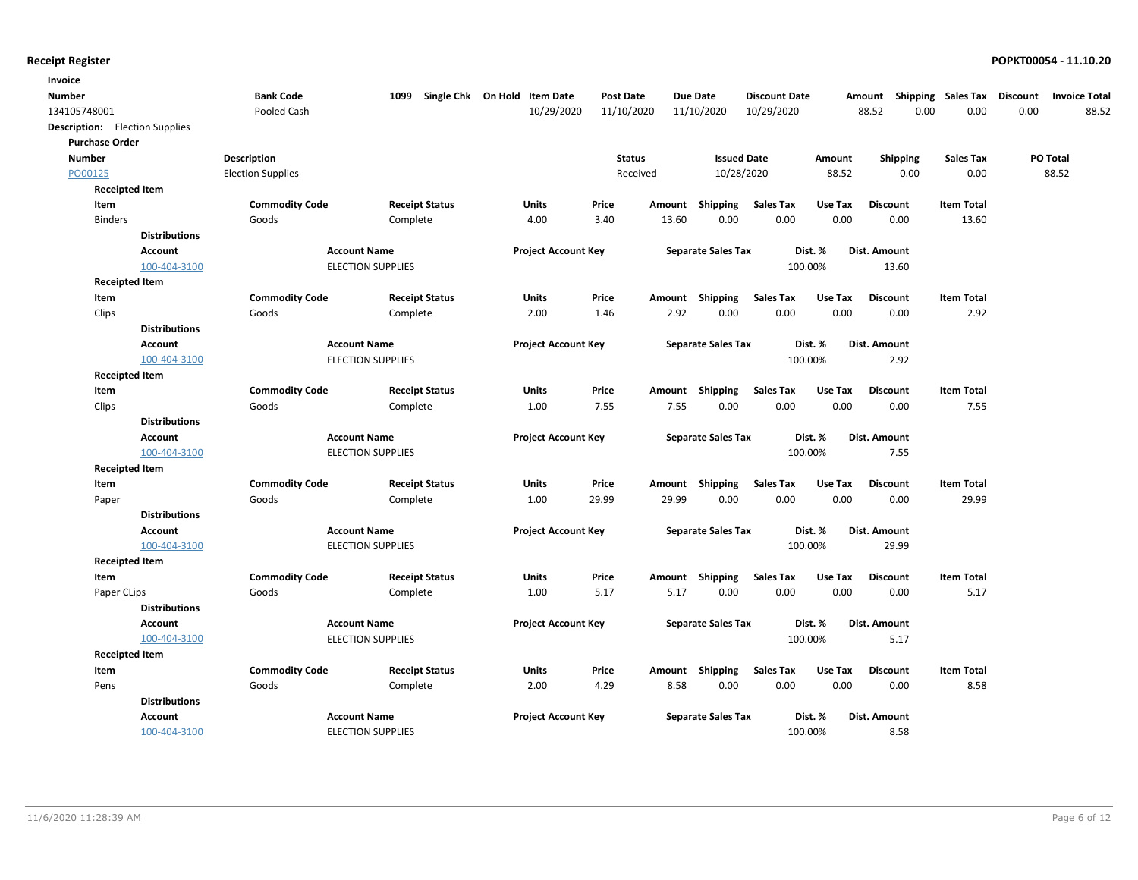| Invoice       |                                       |                          |                          |                                   |                  |        |                           |                      |         |                 |                    |                                         |
|---------------|---------------------------------------|--------------------------|--------------------------|-----------------------------------|------------------|--------|---------------------------|----------------------|---------|-----------------|--------------------|-----------------------------------------|
| Number        |                                       | <b>Bank Code</b>         |                          | 1099 Single Chk On Hold Item Date | <b>Post Date</b> |        | <b>Due Date</b>           | <b>Discount Date</b> |         | Amount          | Shipping Sales Tax | <b>Discount</b><br><b>Invoice Total</b> |
| 134105748001  |                                       | Pooled Cash              |                          | 10/29/2020                        | 11/10/2020       |        | 11/10/2020                | 10/29/2020           |         | 88.52           | 0.00<br>0.00       | 0.00<br>88.52                           |
|               | <b>Description:</b> Election Supplies |                          |                          |                                   |                  |        |                           |                      |         |                 |                    |                                         |
|               | <b>Purchase Order</b>                 |                          |                          |                                   |                  |        |                           |                      |         |                 |                    |                                         |
| <b>Number</b> |                                       | Description              |                          |                                   | <b>Status</b>    |        | <b>Issued Date</b>        |                      | Amount  | <b>Shipping</b> | <b>Sales Tax</b>   | PO Total                                |
| PO00125       |                                       | <b>Election Supplies</b> |                          |                                   | Received         |        | 10/28/2020                |                      | 88.52   | 0.00            | 0.00               | 88.52                                   |
|               | <b>Receipted Item</b>                 |                          |                          |                                   |                  |        |                           |                      |         |                 |                    |                                         |
|               | Item                                  | <b>Commodity Code</b>    | <b>Receipt Status</b>    | Units                             | Price            | Amount | Shipping                  | <b>Sales Tax</b>     | Use Tax | <b>Discount</b> | <b>Item Total</b>  |                                         |
|               | <b>Binders</b>                        | Goods                    | Complete                 | 4.00                              | 3.40             | 13.60  | 0.00                      | 0.00                 | 0.00    | 0.00            | 13.60              |                                         |
|               | <b>Distributions</b>                  |                          |                          |                                   |                  |        |                           |                      |         |                 |                    |                                         |
|               | <b>Account</b>                        |                          | <b>Account Name</b>      | <b>Project Account Key</b>        |                  |        | <b>Separate Sales Tax</b> |                      | Dist. % | Dist. Amount    |                    |                                         |
|               | 100-404-3100                          |                          | <b>ELECTION SUPPLIES</b> |                                   |                  |        |                           | 100.00%              |         | 13.60           |                    |                                         |
|               | <b>Receipted Item</b>                 |                          |                          |                                   |                  |        |                           |                      |         |                 |                    |                                         |
|               | Item                                  | <b>Commodity Code</b>    | <b>Receipt Status</b>    | Units                             | Price            |        | Amount Shipping           | <b>Sales Tax</b>     | Use Tax | <b>Discount</b> | <b>Item Total</b>  |                                         |
|               | Clips                                 | Goods                    | Complete                 | 2.00                              | 1.46             | 2.92   | 0.00                      | 0.00                 | 0.00    | 0.00            | 2.92               |                                         |
|               | <b>Distributions</b>                  |                          |                          |                                   |                  |        |                           |                      |         |                 |                    |                                         |
|               | <b>Account</b>                        |                          | <b>Account Name</b>      | <b>Project Account Key</b>        |                  |        | <b>Separate Sales Tax</b> |                      | Dist. % | Dist. Amount    |                    |                                         |
|               | 100-404-3100                          |                          | <b>ELECTION SUPPLIES</b> |                                   |                  |        |                           | 100.00%              |         | 2.92            |                    |                                         |
|               | <b>Receipted Item</b>                 |                          |                          |                                   |                  |        |                           |                      |         |                 |                    |                                         |
|               | Item                                  | <b>Commodity Code</b>    | <b>Receipt Status</b>    | Units                             | Price            |        | Amount Shipping           | <b>Sales Tax</b>     | Use Tax | <b>Discount</b> | <b>Item Total</b>  |                                         |
|               | Clips                                 | Goods                    | Complete                 | 1.00                              | 7.55             | 7.55   | 0.00                      | 0.00                 | 0.00    | 0.00            | 7.55               |                                         |
|               | <b>Distributions</b>                  |                          |                          |                                   |                  |        |                           |                      |         |                 |                    |                                         |
|               | <b>Account</b>                        |                          | <b>Account Name</b>      | <b>Project Account Key</b>        |                  |        | <b>Separate Sales Tax</b> |                      | Dist. % | Dist. Amount    |                    |                                         |
|               | 100-404-3100                          |                          | <b>ELECTION SUPPLIES</b> |                                   |                  |        |                           | 100.00%              |         | 7.55            |                    |                                         |
|               | <b>Receipted Item</b>                 |                          |                          |                                   |                  |        |                           |                      |         |                 |                    |                                         |
|               | Item                                  | <b>Commodity Code</b>    | <b>Receipt Status</b>    | Units                             | Price            | Amount | Shipping                  | <b>Sales Tax</b>     | Use Tax | <b>Discount</b> | <b>Item Total</b>  |                                         |
|               | Paper                                 | Goods                    | Complete                 | 1.00                              | 29.99            | 29.99  | 0.00                      | 0.00                 | 0.00    | 0.00            | 29.99              |                                         |
|               | <b>Distributions</b>                  |                          |                          |                                   |                  |        |                           |                      |         |                 |                    |                                         |
|               | <b>Account</b>                        |                          | <b>Account Name</b>      | <b>Project Account Key</b>        |                  |        | <b>Separate Sales Tax</b> |                      | Dist. % | Dist. Amount    |                    |                                         |
|               | 100-404-3100                          |                          | <b>ELECTION SUPPLIES</b> |                                   |                  |        |                           | 100.00%              |         | 29.99           |                    |                                         |
|               | <b>Receipted Item</b>                 |                          |                          |                                   |                  |        |                           |                      |         |                 |                    |                                         |
|               | Item                                  | <b>Commodity Code</b>    | <b>Receipt Status</b>    | Units                             | Price            | Amount | Shipping                  | <b>Sales Tax</b>     | Use Tax | <b>Discount</b> | <b>Item Total</b>  |                                         |
|               | Paper CLips                           | Goods                    | Complete                 | 1.00                              | 5.17             | 5.17   | 0.00                      | 0.00                 | 0.00    | 0.00            | 5.17               |                                         |
|               | <b>Distributions</b>                  |                          |                          |                                   |                  |        |                           |                      |         |                 |                    |                                         |
|               | Account                               |                          | <b>Account Name</b>      | <b>Project Account Key</b>        |                  |        | <b>Separate Sales Tax</b> |                      | Dist. % | Dist. Amount    |                    |                                         |
|               | 100-404-3100                          |                          | <b>ELECTION SUPPLIES</b> |                                   |                  |        |                           | 100.00%              |         | 5.17            |                    |                                         |
|               | <b>Receipted Item</b>                 |                          |                          |                                   |                  |        |                           |                      |         |                 |                    |                                         |
|               | Item                                  | <b>Commodity Code</b>    | <b>Receipt Status</b>    | Units                             | Price            | Amount | Shipping                  | <b>Sales Tax</b>     | Use Tax | <b>Discount</b> | <b>Item Total</b>  |                                         |
|               | Pens                                  | Goods                    | Complete                 | 2.00                              | 4.29             | 8.58   | 0.00                      | 0.00                 | 0.00    | 0.00            | 8.58               |                                         |
|               | <b>Distributions</b>                  |                          |                          |                                   |                  |        |                           |                      |         |                 |                    |                                         |
|               | <b>Account</b>                        |                          | <b>Account Name</b>      | <b>Project Account Key</b>        |                  |        | <b>Separate Sales Tax</b> |                      | Dist. % | Dist. Amount    |                    |                                         |
|               | 100-404-3100                          |                          | <b>ELECTION SUPPLIES</b> |                                   |                  |        |                           | 100.00%              |         | 8.58            |                    |                                         |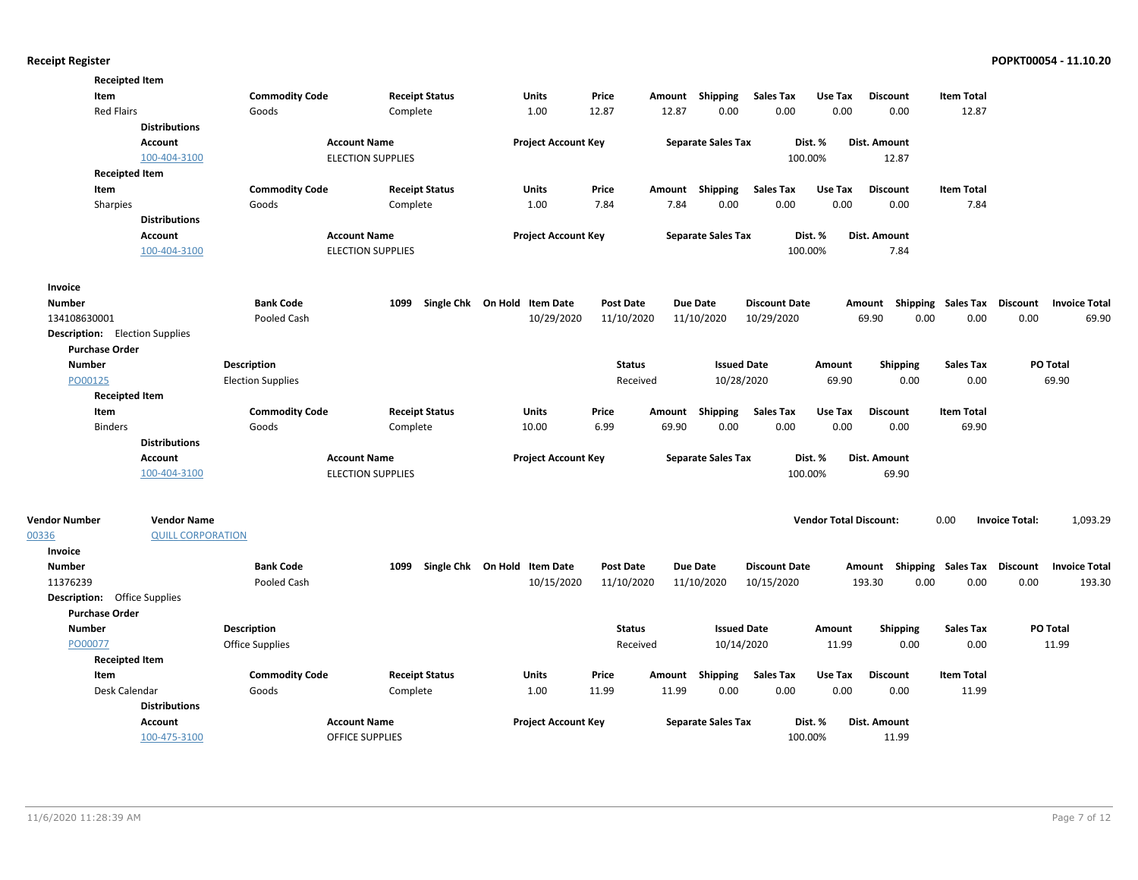| <b>Receipted Item</b>                 |                          |                          |                          |                              |                  |        |                           |                      |                               |                                                  |                   |                       |                      |
|---------------------------------------|--------------------------|--------------------------|--------------------------|------------------------------|------------------|--------|---------------------------|----------------------|-------------------------------|--------------------------------------------------|-------------------|-----------------------|----------------------|
| Item                                  |                          | <b>Commodity Code</b>    | <b>Receipt Status</b>    | Units                        | Price            | Amount | Shipping                  | <b>Sales Tax</b>     | Use Tax                       | <b>Discount</b>                                  | <b>Item Total</b> |                       |                      |
| <b>Red Flairs</b>                     |                          | Goods                    | Complete                 | 1.00                         | 12.87            | 12.87  | 0.00                      | 0.00                 | 0.00                          | 0.00                                             | 12.87             |                       |                      |
|                                       | <b>Distributions</b>     |                          |                          |                              |                  |        |                           |                      |                               |                                                  |                   |                       |                      |
|                                       | <b>Account</b>           |                          | <b>Account Name</b>      | <b>Project Account Key</b>   |                  |        | <b>Separate Sales Tax</b> |                      | Dist. %                       | Dist. Amount                                     |                   |                       |                      |
|                                       | 100-404-3100             |                          | <b>ELECTION SUPPLIES</b> |                              |                  |        |                           | 100.00%              |                               | 12.87                                            |                   |                       |                      |
| <b>Receipted Item</b>                 |                          |                          |                          |                              |                  |        |                           |                      |                               |                                                  |                   |                       |                      |
| Item                                  |                          | <b>Commodity Code</b>    | <b>Receipt Status</b>    | Units                        | Price            |        | Amount Shipping           | <b>Sales Tax</b>     | Use Tax                       | <b>Discount</b>                                  | <b>Item Total</b> |                       |                      |
| Sharpies                              |                          | Goods                    | Complete                 | 1.00                         | 7.84             | 7.84   | 0.00                      | 0.00                 | 0.00                          | 0.00                                             | 7.84              |                       |                      |
|                                       | <b>Distributions</b>     |                          |                          |                              |                  |        |                           |                      |                               |                                                  |                   |                       |                      |
|                                       | <b>Account</b>           |                          | <b>Account Name</b>      | <b>Project Account Key</b>   |                  |        | <b>Separate Sales Tax</b> |                      | Dist. %                       | Dist. Amount                                     |                   |                       |                      |
|                                       | 100-404-3100             |                          | <b>ELECTION SUPPLIES</b> |                              |                  |        |                           | 100.00%              |                               | 7.84                                             |                   |                       |                      |
|                                       |                          |                          |                          |                              |                  |        |                           |                      |                               |                                                  |                   |                       |                      |
| Invoice                               |                          |                          |                          |                              |                  |        |                           |                      |                               |                                                  |                   |                       |                      |
| <b>Number</b>                         |                          | <b>Bank Code</b>         | 1099                     | Single Chk On Hold Item Date | <b>Post Date</b> |        | <b>Due Date</b>           | <b>Discount Date</b> |                               | Amount Shipping Sales Tax Discount Invoice Total |                   |                       |                      |
| 134108630001                          |                          | Pooled Cash              |                          | 10/29/2020                   | 11/10/2020       |        | 11/10/2020                | 10/29/2020           |                               | 69.90<br>0.00                                    | 0.00              | 0.00                  | 69.90                |
| <b>Description:</b> Election Supplies |                          |                          |                          |                              |                  |        |                           |                      |                               |                                                  |                   |                       |                      |
| <b>Purchase Order</b>                 |                          |                          |                          |                              |                  |        |                           |                      |                               |                                                  |                   |                       |                      |
| <b>Number</b>                         |                          | Description              |                          |                              | <b>Status</b>    |        | <b>Issued Date</b>        |                      | Amount                        | <b>Shipping</b>                                  | <b>Sales Tax</b>  |                       | PO Total             |
| PO00125                               |                          | <b>Election Supplies</b> |                          |                              | Received         |        | 10/28/2020                |                      | 69.90                         | 0.00                                             | 0.00              |                       | 69.90                |
| <b>Receipted Item</b>                 |                          |                          |                          |                              |                  |        |                           |                      |                               |                                                  |                   |                       |                      |
| Item                                  |                          | <b>Commodity Code</b>    | <b>Receipt Status</b>    | Units                        | Price            | Amount | Shipping                  | <b>Sales Tax</b>     | Use Tax                       | <b>Discount</b>                                  | <b>Item Total</b> |                       |                      |
| <b>Binders</b>                        |                          | Goods                    | Complete                 | 10.00                        | 6.99             | 69.90  | 0.00                      | 0.00                 | 0.00                          | 0.00                                             | 69.90             |                       |                      |
|                                       | <b>Distributions</b>     |                          |                          |                              |                  |        |                           |                      |                               |                                                  |                   |                       |                      |
|                                       | Account                  |                          | <b>Account Name</b>      | <b>Project Account Key</b>   |                  |        | <b>Separate Sales Tax</b> |                      | Dist. %                       | Dist. Amount                                     |                   |                       |                      |
|                                       | 100-404-3100             |                          | <b>ELECTION SUPPLIES</b> |                              |                  |        |                           | 100.00%              |                               | 69.90                                            |                   |                       |                      |
|                                       |                          |                          |                          |                              |                  |        |                           |                      |                               |                                                  |                   |                       |                      |
| <b>Vendor Number</b>                  | <b>Vendor Name</b>       |                          |                          |                              |                  |        |                           |                      | <b>Vendor Total Discount:</b> |                                                  | 0.00              | <b>Invoice Total:</b> | 1,093.29             |
| 00336                                 | <b>QUILL CORPORATION</b> |                          |                          |                              |                  |        |                           |                      |                               |                                                  |                   |                       |                      |
| Invoice                               |                          |                          |                          |                              |                  |        |                           |                      |                               |                                                  |                   |                       |                      |
| <b>Number</b>                         |                          | <b>Bank Code</b>         | 1099                     | Single Chk On Hold Item Date | <b>Post Date</b> |        | Due Date                  | <b>Discount Date</b> |                               | Amount Shipping Sales Tax Discount               |                   |                       | <b>Invoice Total</b> |
| 11376239                              |                          | Pooled Cash              |                          | 10/15/2020                   | 11/10/2020       |        | 11/10/2020                | 10/15/2020           |                               | 193.30<br>0.00                                   | 0.00              | 0.00                  | 193.30               |
| <b>Description:</b> Office Supplies   |                          |                          |                          |                              |                  |        |                           |                      |                               |                                                  |                   |                       |                      |
| <b>Purchase Order</b>                 |                          |                          |                          |                              |                  |        |                           |                      |                               |                                                  |                   |                       |                      |
| <b>Number</b>                         |                          | <b>Description</b>       |                          |                              | <b>Status</b>    |        | <b>Issued Date</b>        |                      | Amount                        | <b>Shipping</b>                                  | Sales Tax         |                       | <b>PO Total</b>      |
| PO00077                               |                          | Office Supplies          |                          |                              | Received         |        | 10/14/2020                |                      | 11.99                         | 0.00                                             | 0.00              |                       | 11.99                |
| <b>Receipted Item</b>                 |                          |                          |                          |                              |                  |        |                           |                      |                               |                                                  |                   |                       |                      |
| Item                                  |                          | <b>Commodity Code</b>    | <b>Receipt Status</b>    | Units                        | Price            | Amount | Shipping                  | <b>Sales Tax</b>     | Use Tax                       | <b>Discount</b>                                  | <b>Item Total</b> |                       |                      |
| Desk Calendar                         |                          | Goods                    | Complete                 | 1.00                         | 11.99            | 11.99  | 0.00                      | 0.00                 | 0.00                          | 0.00                                             | 11.99             |                       |                      |
|                                       | <b>Distributions</b>     |                          |                          |                              |                  |        |                           |                      |                               |                                                  |                   |                       |                      |
|                                       | <b>Account</b>           |                          | <b>Account Name</b>      | <b>Project Account Key</b>   |                  |        | <b>Separate Sales Tax</b> |                      | Dist. %                       | Dist. Amount                                     |                   |                       |                      |
|                                       | 100-475-3100             |                          | <b>OFFICE SUPPLIES</b>   |                              |                  |        |                           | 100.00%              |                               | 11.99                                            |                   |                       |                      |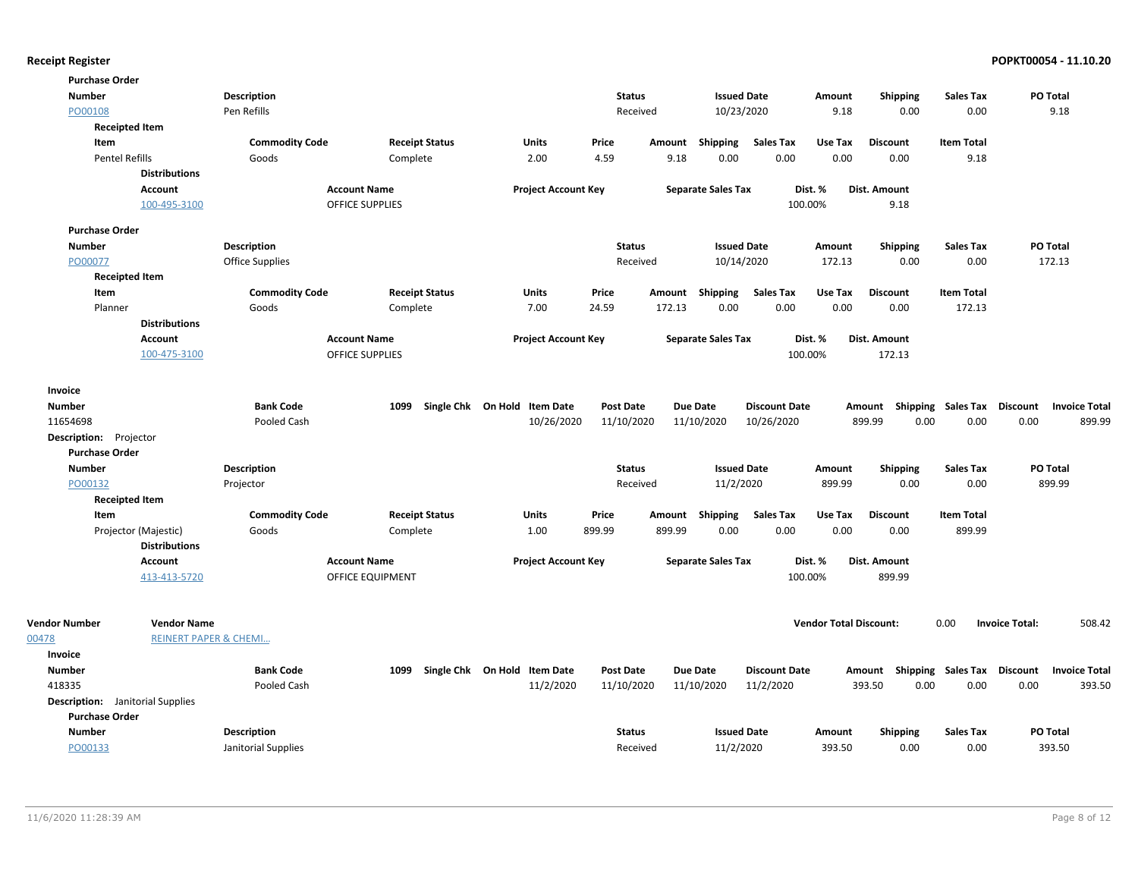| <b>Purchase Order</b>                   |                                  |                       |                         |                              |                  |                 |                           |                      |                               |                     |                           |                                                  |
|-----------------------------------------|----------------------------------|-----------------------|-------------------------|------------------------------|------------------|-----------------|---------------------------|----------------------|-------------------------------|---------------------|---------------------------|--------------------------------------------------|
| <b>Number</b>                           |                                  | <b>Description</b>    |                         |                              | <b>Status</b>    |                 | <b>Issued Date</b>        |                      | Amount                        | <b>Shipping</b>     | <b>Sales Tax</b>          | PO Total                                         |
| PO00108                                 |                                  | Pen Refills           |                         |                              | Received         |                 | 10/23/2020                |                      | 9.18                          | 0.00                | 0.00                      | 9.18                                             |
|                                         | <b>Receipted Item</b>            |                       |                         |                              |                  |                 |                           |                      |                               |                     |                           |                                                  |
| Item                                    |                                  | <b>Commodity Code</b> | <b>Receipt Status</b>   | Units                        | Price            | Amount          | Shipping                  | <b>Sales Tax</b>     | Use Tax                       | <b>Discount</b>     | <b>Item Total</b>         |                                                  |
| <b>Pentel Refills</b>                   |                                  | Goods                 | Complete                | 2.00                         | 4.59             | 9.18            | 0.00                      | 0.00                 | 0.00                          | 0.00                | 9.18                      |                                                  |
|                                         | <b>Distributions</b>             |                       |                         |                              |                  |                 |                           |                      |                               |                     |                           |                                                  |
|                                         | <b>Account</b>                   |                       | <b>Account Name</b>     | <b>Project Account Key</b>   |                  |                 | <b>Separate Sales Tax</b> |                      | Dist. %                       | <b>Dist. Amount</b> |                           |                                                  |
|                                         | 100-495-3100                     |                       | <b>OFFICE SUPPLIES</b>  |                              |                  |                 |                           |                      | 100.00%                       | 9.18                |                           |                                                  |
| <b>Purchase Order</b>                   |                                  |                       |                         |                              |                  |                 |                           |                      |                               |                     |                           |                                                  |
| <b>Number</b>                           |                                  | <b>Description</b>    |                         |                              | <b>Status</b>    |                 | <b>Issued Date</b>        |                      | Amount                        | <b>Shipping</b>     | <b>Sales Tax</b>          | PO Total                                         |
| PO00077                                 |                                  | Office Supplies       |                         |                              | Received         |                 | 10/14/2020                |                      | 172.13                        | 0.00                | 0.00                      | 172.13                                           |
|                                         | <b>Receipted Item</b>            |                       |                         |                              |                  |                 |                           |                      |                               |                     |                           |                                                  |
| Item                                    |                                  | <b>Commodity Code</b> | <b>Receipt Status</b>   | Units                        | Price            | Amount Shipping |                           | <b>Sales Tax</b>     | Use Tax                       | <b>Discount</b>     | <b>Item Total</b>         |                                                  |
| Planner                                 |                                  | Goods                 | Complete                | 7.00                         | 24.59            | 172.13          | 0.00                      | 0.00                 | 0.00                          | 0.00                | 172.13                    |                                                  |
|                                         | <b>Distributions</b>             |                       |                         |                              |                  |                 |                           |                      |                               |                     |                           |                                                  |
|                                         | Account                          |                       | <b>Account Name</b>     | <b>Project Account Key</b>   |                  |                 | <b>Separate Sales Tax</b> |                      | Dist. %                       | Dist. Amount        |                           |                                                  |
|                                         | 100-475-3100                     |                       | <b>OFFICE SUPPLIES</b>  |                              |                  |                 |                           |                      | 100.00%                       | 172.13              |                           |                                                  |
| Invoice                                 |                                  |                       |                         |                              |                  |                 |                           |                      |                               |                     |                           |                                                  |
| <b>Number</b>                           |                                  | <b>Bank Code</b>      | 1099                    | Single Chk On Hold Item Date | <b>Post Date</b> | Due Date        |                           | <b>Discount Date</b> |                               | Amount              | <b>Shipping Sales Tax</b> | <b>Discount</b><br><b>Invoice Total</b>          |
| 11654698                                |                                  | Pooled Cash           |                         | 10/26/2020                   | 11/10/2020       |                 | 11/10/2020                | 10/26/2020           |                               | 899.99<br>0.00      | 0.00                      | 0.00<br>899.99                                   |
| Description: Projector                  |                                  |                       |                         |                              |                  |                 |                           |                      |                               |                     |                           |                                                  |
| <b>Purchase Order</b>                   |                                  |                       |                         |                              |                  |                 |                           |                      |                               |                     |                           |                                                  |
| <b>Number</b>                           |                                  | <b>Description</b>    |                         |                              | <b>Status</b>    |                 | <b>Issued Date</b>        |                      | Amount                        | <b>Shipping</b>     | <b>Sales Tax</b>          | PO Total                                         |
| PO00132                                 |                                  | Projector             |                         |                              | Received         |                 | 11/2/2020                 |                      | 899.99                        | 0.00                | 0.00                      | 899.99                                           |
|                                         | <b>Receipted Item</b>            |                       |                         |                              |                  |                 |                           |                      |                               |                     |                           |                                                  |
| Item                                    |                                  | <b>Commodity Code</b> | <b>Receipt Status</b>   | Units                        | Price            | Amount          | Shipping                  | <b>Sales Tax</b>     | Use Tax                       | <b>Discount</b>     | <b>Item Total</b>         |                                                  |
|                                         | Projector (Majestic)             | Goods                 | Complete                | 1.00                         | 899.99           | 899.99          | 0.00                      | 0.00                 | 0.00                          | 0.00                | 899.99                    |                                                  |
|                                         | <b>Distributions</b>             |                       |                         |                              |                  |                 |                           |                      |                               |                     |                           |                                                  |
|                                         | <b>Account</b>                   |                       | <b>Account Name</b>     | <b>Project Account Key</b>   |                  |                 | <b>Separate Sales Tax</b> |                      | Dist. %                       | Dist. Amount        |                           |                                                  |
|                                         | 413-413-5720                     |                       | <b>OFFICE EQUIPMENT</b> |                              |                  |                 |                           |                      | 100.00%                       | 899.99              |                           |                                                  |
|                                         |                                  |                       |                         |                              |                  |                 |                           |                      |                               |                     |                           |                                                  |
| <b>Vendor Number</b>                    | <b>Vendor Name</b>               |                       |                         |                              |                  |                 |                           |                      | <b>Vendor Total Discount:</b> |                     | 0.00                      | 508.42<br><b>Invoice Total:</b>                  |
| 00478                                   | <b>REINERT PAPER &amp; CHEMI</b> |                       |                         |                              |                  |                 |                           |                      |                               |                     |                           |                                                  |
| Invoice                                 |                                  |                       |                         |                              |                  |                 |                           |                      |                               |                     |                           |                                                  |
| <b>Number</b>                           |                                  | <b>Bank Code</b>      | 1099                    | Single Chk On Hold Item Date | <b>Post Date</b> | Due Date        |                           | <b>Discount Date</b> |                               |                     |                           | Amount Shipping Sales Tax Discount Invoice Total |
| 418335                                  |                                  | Pooled Cash           |                         | 11/2/2020                    | 11/10/2020       |                 | 11/10/2020                | 11/2/2020            |                               | 393.50<br>0.00      | 0.00                      | 393.50<br>0.00                                   |
| <b>Description:</b> Janitorial Supplies |                                  |                       |                         |                              |                  |                 |                           |                      |                               |                     |                           |                                                  |
| <b>Purchase Order</b>                   |                                  |                       |                         |                              |                  |                 |                           |                      |                               |                     |                           |                                                  |
| <b>Number</b>                           |                                  | <b>Description</b>    |                         |                              | <b>Status</b>    |                 | <b>Issued Date</b>        |                      | Amount                        | <b>Shipping</b>     | <b>Sales Tax</b>          | PO Total                                         |
| PO00133                                 |                                  | Janitorial Supplies   |                         |                              | Received         |                 | 11/2/2020                 |                      | 393.50                        | 0.00                | 0.00                      | 393.50                                           |
|                                         |                                  |                       |                         |                              |                  |                 |                           |                      |                               |                     |                           |                                                  |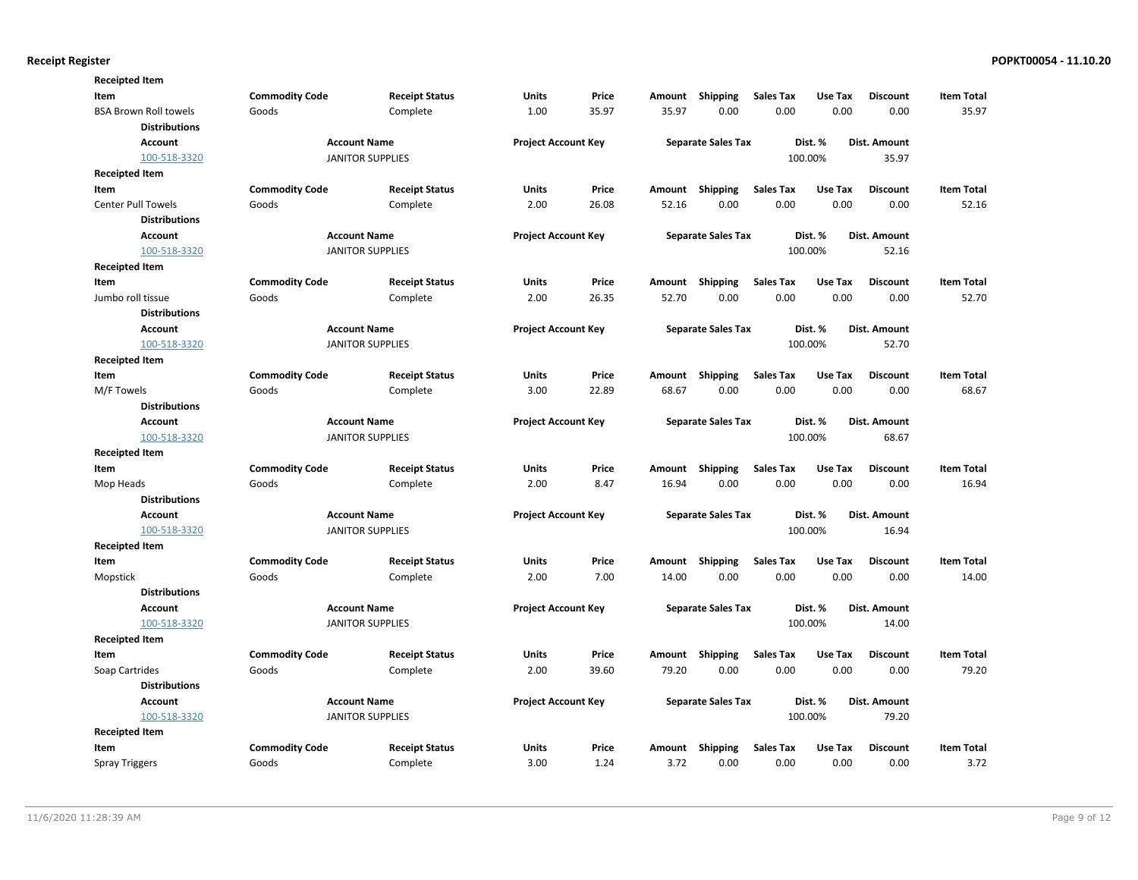| <b>Receipted Item</b>        |                       |                         |                            |       |        |                           |                  |         |                     |                   |
|------------------------------|-----------------------|-------------------------|----------------------------|-------|--------|---------------------------|------------------|---------|---------------------|-------------------|
| Item                         | <b>Commodity Code</b> | <b>Receipt Status</b>   | Units                      | Price | Amount | <b>Shipping</b>           | <b>Sales Tax</b> | Use Tax | <b>Discount</b>     | <b>Item Total</b> |
| <b>BSA Brown Roll towels</b> | Goods                 | Complete                | 1.00                       | 35.97 | 35.97  | 0.00                      | 0.00             | 0.00    | 0.00                | 35.97             |
| <b>Distributions</b>         |                       |                         |                            |       |        |                           |                  |         |                     |                   |
| <b>Account</b>               |                       | <b>Account Name</b>     | <b>Project Account Key</b> |       |        | <b>Separate Sales Tax</b> |                  | Dist. % | <b>Dist. Amount</b> |                   |
| 100-518-3320                 |                       | <b>JANITOR SUPPLIES</b> |                            |       |        |                           |                  | 100.00% | 35.97               |                   |
| <b>Receipted Item</b>        |                       |                         |                            |       |        |                           |                  |         |                     |                   |
| Item                         | <b>Commodity Code</b> | <b>Receipt Status</b>   | Units                      | Price | Amount | <b>Shipping</b>           | <b>Sales Tax</b> | Use Tax | <b>Discount</b>     | <b>Item Total</b> |
| <b>Center Pull Towels</b>    | Goods                 | Complete                | 2.00                       | 26.08 | 52.16  | 0.00                      | 0.00             | 0.00    | 0.00                | 52.16             |
| <b>Distributions</b>         |                       |                         |                            |       |        |                           |                  |         |                     |                   |
| Account                      |                       | <b>Account Name</b>     | <b>Project Account Key</b> |       |        | <b>Separate Sales Tax</b> |                  | Dist. % | <b>Dist. Amount</b> |                   |
| 100-518-3320                 |                       | <b>JANITOR SUPPLIES</b> |                            |       |        |                           |                  | 100.00% | 52.16               |                   |
| <b>Receipted Item</b>        |                       |                         |                            |       |        |                           |                  |         |                     |                   |
| Item                         | <b>Commodity Code</b> | <b>Receipt Status</b>   | Units                      | Price | Amount | <b>Shipping</b>           | <b>Sales Tax</b> | Use Tax | <b>Discount</b>     | <b>Item Total</b> |
| Jumbo roll tissue            | Goods                 | Complete                | 2.00                       | 26.35 | 52.70  | 0.00                      | 0.00             | 0.00    | 0.00                | 52.70             |
| <b>Distributions</b>         |                       |                         |                            |       |        |                           |                  |         |                     |                   |
| <b>Account</b>               |                       | <b>Account Name</b>     | <b>Project Account Key</b> |       |        | <b>Separate Sales Tax</b> |                  | Dist. % | Dist. Amount        |                   |
| 100-518-3320                 |                       | <b>JANITOR SUPPLIES</b> |                            |       |        |                           |                  | 100.00% | 52.70               |                   |
| <b>Receipted Item</b>        |                       |                         |                            |       |        |                           |                  |         |                     |                   |
| Item                         | <b>Commodity Code</b> | <b>Receipt Status</b>   | Units                      | Price | Amount | <b>Shipping</b>           | <b>Sales Tax</b> | Use Tax | <b>Discount</b>     | <b>Item Total</b> |
| M/F Towels                   | Goods                 | Complete                | 3.00                       | 22.89 | 68.67  | 0.00                      | 0.00             | 0.00    | 0.00                | 68.67             |
| <b>Distributions</b>         |                       |                         |                            |       |        |                           |                  |         |                     |                   |
| <b>Account</b>               |                       | <b>Account Name</b>     | <b>Project Account Key</b> |       |        | <b>Separate Sales Tax</b> |                  | Dist. % | <b>Dist. Amount</b> |                   |
| 100-518-3320                 |                       | <b>JANITOR SUPPLIES</b> |                            |       |        |                           |                  | 100.00% | 68.67               |                   |
| <b>Receipted Item</b>        |                       |                         |                            |       |        |                           |                  |         |                     |                   |
| Item                         | <b>Commodity Code</b> | <b>Receipt Status</b>   | Units                      | Price | Amount | <b>Shipping</b>           | <b>Sales Tax</b> | Use Tax | <b>Discount</b>     | <b>Item Total</b> |
| Mop Heads                    | Goods                 | Complete                | 2.00                       | 8.47  | 16.94  | 0.00                      | 0.00             | 0.00    | 0.00                | 16.94             |
| <b>Distributions</b>         |                       |                         |                            |       |        |                           |                  |         |                     |                   |
| <b>Account</b>               |                       | <b>Account Name</b>     | <b>Project Account Key</b> |       |        | <b>Separate Sales Tax</b> |                  | Dist. % | Dist. Amount        |                   |
| 100-518-3320                 |                       | <b>JANITOR SUPPLIES</b> |                            |       |        |                           |                  | 100.00% | 16.94               |                   |
| <b>Receipted Item</b>        |                       |                         |                            |       |        |                           |                  |         |                     |                   |
| Item                         | <b>Commodity Code</b> | <b>Receipt Status</b>   | Units                      | Price | Amount | <b>Shipping</b>           | <b>Sales Tax</b> | Use Tax | <b>Discount</b>     | <b>Item Total</b> |
| Mopstick                     | Goods                 | Complete                | 2.00                       | 7.00  | 14.00  | 0.00                      | 0.00             | 0.00    | 0.00                | 14.00             |
| <b>Distributions</b>         |                       |                         |                            |       |        |                           |                  |         |                     |                   |
| <b>Account</b>               |                       | <b>Account Name</b>     | <b>Project Account Key</b> |       |        | <b>Separate Sales Tax</b> |                  | Dist. % | Dist. Amount        |                   |
| 100-518-3320                 |                       | <b>JANITOR SUPPLIES</b> |                            |       |        |                           |                  | 100.00% | 14.00               |                   |
| <b>Receipted Item</b>        |                       |                         |                            |       |        |                           |                  |         |                     |                   |
| Item                         | <b>Commodity Code</b> | <b>Receipt Status</b>   | <b>Units</b>               | Price | Amount | <b>Shipping</b>           | <b>Sales Tax</b> | Use Tax | <b>Discount</b>     | <b>Item Total</b> |
| Soap Cartrides               | Goods                 | Complete                | 2.00                       | 39.60 | 79.20  | 0.00                      | 0.00             | 0.00    | 0.00                | 79.20             |
| <b>Distributions</b>         |                       |                         |                            |       |        |                           |                  |         |                     |                   |
| <b>Account</b>               |                       | <b>Account Name</b>     | <b>Project Account Key</b> |       |        | <b>Separate Sales Tax</b> |                  | Dist. % | Dist. Amount        |                   |
| 100-518-3320                 |                       | <b>JANITOR SUPPLIES</b> |                            |       |        |                           |                  | 100.00% | 79.20               |                   |
| <b>Receipted Item</b>        |                       |                         |                            |       |        |                           |                  |         |                     |                   |
| Item                         | <b>Commodity Code</b> | <b>Receipt Status</b>   | Units                      | Price | Amount | <b>Shipping</b>           | <b>Sales Tax</b> | Use Tax | <b>Discount</b>     | <b>Item Total</b> |
| <b>Spray Triggers</b>        | Goods                 | Complete                | 3.00                       | 1.24  | 3.72   | 0.00                      | 0.00             | 0.00    | 0.00                | 3.72              |
|                              |                       |                         |                            |       |        |                           |                  |         |                     |                   |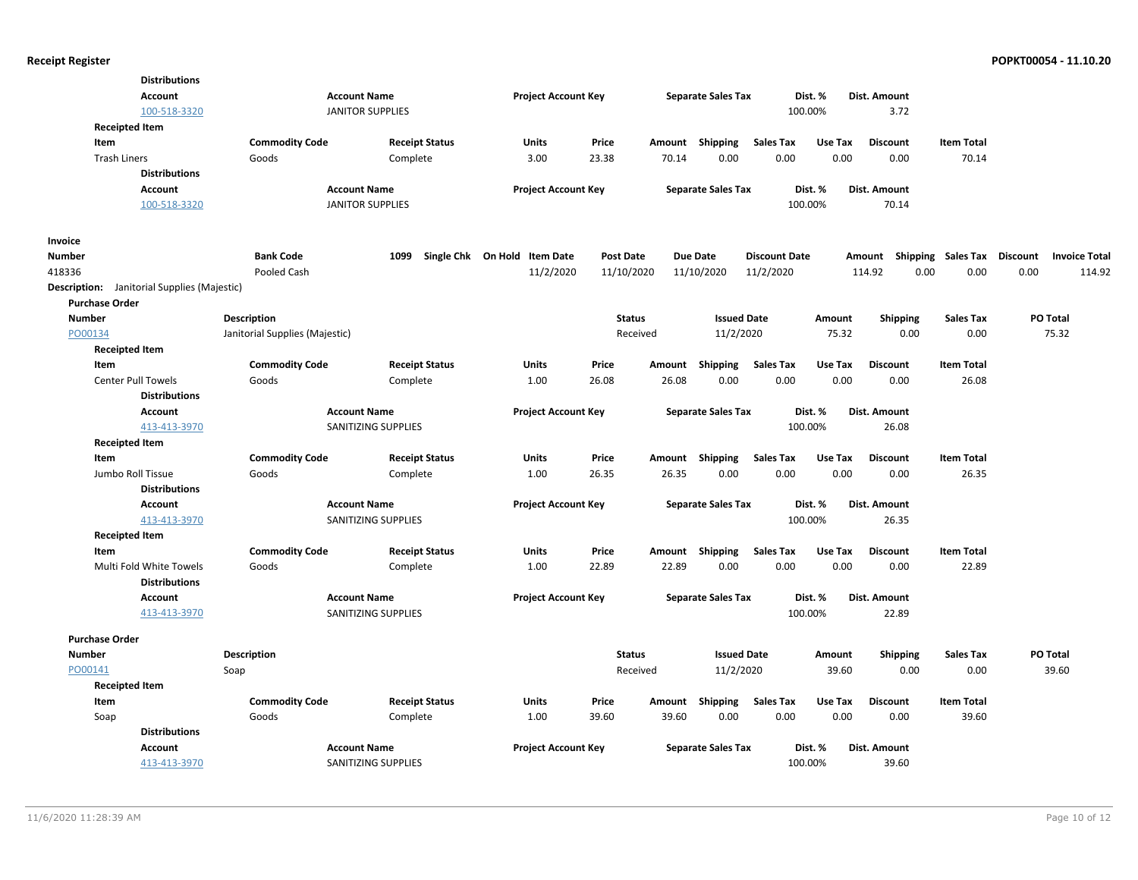|                                                    | <b>Distributions</b><br><b>Account</b><br>100-518-3320 |                                | <b>Account Name</b><br><b>JANITOR SUPPLIES</b> | <b>Project Account Key</b>   |                  |                 | <b>Separate Sales Tax</b> | Dist. %<br>100.00%       |                 | Dist. Amount<br>3.72               |                            |          |                      |
|----------------------------------------------------|--------------------------------------------------------|--------------------------------|------------------------------------------------|------------------------------|------------------|-----------------|---------------------------|--------------------------|-----------------|------------------------------------|----------------------------|----------|----------------------|
| <b>Receipted Item</b>                              |                                                        |                                |                                                |                              |                  |                 |                           |                          |                 |                                    |                            |          |                      |
| Item<br><b>Trash Liners</b>                        |                                                        | <b>Commodity Code</b><br>Goods | <b>Receipt Status</b><br>Complete              | Units<br>3.00                | Price<br>23.38   | Amount<br>70.14 | Shipping<br>0.00          | <b>Sales Tax</b><br>0.00 | Use Tax<br>0.00 | <b>Discount</b><br>0.00            | <b>Item Total</b><br>70.14 |          |                      |
|                                                    | <b>Distributions</b>                                   |                                |                                                |                              |                  |                 |                           |                          |                 |                                    |                            |          |                      |
|                                                    | <b>Account</b>                                         |                                | <b>Account Name</b>                            | <b>Project Account Key</b>   |                  |                 | <b>Separate Sales Tax</b> | Dist. %                  |                 | Dist. Amount                       |                            |          |                      |
|                                                    | 100-518-3320                                           |                                | <b>JANITOR SUPPLIES</b>                        |                              |                  |                 |                           | 100.00%                  |                 | 70.14                              |                            |          |                      |
| Invoice                                            |                                                        |                                |                                                |                              |                  |                 |                           |                          |                 |                                    |                            |          |                      |
| <b>Number</b>                                      |                                                        | <b>Bank Code</b>               | 1099                                           | Single Chk On Hold Item Date | <b>Post Date</b> |                 | <b>Due Date</b>           | <b>Discount Date</b>     |                 | Amount Shipping Sales Tax Discount |                            |          | <b>Invoice Total</b> |
| 418336                                             |                                                        | Pooled Cash                    |                                                | 11/2/2020                    | 11/10/2020       |                 | 11/10/2020                | 11/2/2020                |                 | 114.92<br>0.00                     | 0.00                       | 0.00     | 114.92               |
| <b>Description:</b> Janitorial Supplies (Majestic) |                                                        |                                |                                                |                              |                  |                 |                           |                          |                 |                                    |                            |          |                      |
| <b>Purchase Order</b>                              |                                                        |                                |                                                |                              |                  |                 |                           |                          |                 |                                    |                            |          |                      |
| <b>Number</b>                                      |                                                        | <b>Description</b>             |                                                |                              | <b>Status</b>    |                 | <b>Issued Date</b>        |                          | Amount          | <b>Shipping</b>                    | <b>Sales Tax</b>           | PO Total |                      |
| PO00134                                            |                                                        | Janitorial Supplies (Majestic) |                                                |                              | Received         |                 | 11/2/2020                 |                          | 75.32           | 0.00                               | 0.00                       | 75.32    |                      |
| <b>Receipted Item</b>                              |                                                        |                                |                                                |                              |                  |                 |                           |                          |                 |                                    |                            |          |                      |
| Item                                               |                                                        | <b>Commodity Code</b>          | <b>Receipt Status</b>                          | Units                        | Price            | Amount          | <b>Shipping</b>           | <b>Sales Tax</b>         | Use Tax         | <b>Discount</b>                    | <b>Item Total</b>          |          |                      |
| <b>Center Pull Towels</b>                          |                                                        | Goods                          | Complete                                       | 1.00                         | 26.08            | 26.08           | 0.00                      | 0.00                     | 0.00            | 0.00                               | 26.08                      |          |                      |
|                                                    | <b>Distributions</b>                                   |                                |                                                |                              |                  |                 |                           |                          |                 |                                    |                            |          |                      |
|                                                    | <b>Account</b>                                         |                                | <b>Account Name</b>                            | <b>Project Account Key</b>   |                  |                 | <b>Separate Sales Tax</b> | Dist. %                  |                 | Dist. Amount                       |                            |          |                      |
|                                                    | 413-413-3970                                           |                                | SANITIZING SUPPLIES                            |                              |                  |                 |                           | 100.00%                  |                 | 26.08                              |                            |          |                      |
| <b>Receipted Item</b>                              |                                                        |                                |                                                |                              |                  |                 |                           |                          |                 |                                    |                            |          |                      |
| Item                                               |                                                        | <b>Commodity Code</b>          | <b>Receipt Status</b>                          | Units                        | Price            |                 | Amount Shipping           | <b>Sales Tax</b>         | Use Tax         | <b>Discount</b>                    | <b>Item Total</b>          |          |                      |
| Jumbo Roll Tissue                                  |                                                        | Goods                          | Complete                                       | 1.00                         | 26.35            | 26.35           | 0.00                      | 0.00                     | 0.00            | 0.00                               | 26.35                      |          |                      |
|                                                    | <b>Distributions</b>                                   |                                |                                                |                              |                  |                 |                           |                          |                 |                                    |                            |          |                      |
|                                                    | Account                                                |                                | <b>Account Name</b>                            | <b>Project Account Key</b>   |                  |                 | <b>Separate Sales Tax</b> | Dist. %                  |                 | Dist. Amount                       |                            |          |                      |
|                                                    | 413-413-3970                                           |                                | SANITIZING SUPPLIES                            |                              |                  |                 |                           | 100.00%                  |                 | 26.35                              |                            |          |                      |
| <b>Receipted Item</b>                              |                                                        |                                |                                                |                              |                  |                 |                           |                          |                 |                                    |                            |          |                      |
| Item                                               |                                                        | <b>Commodity Code</b>          | <b>Receipt Status</b>                          | Units                        | Price            | Amount          | Shipping                  | <b>Sales Tax</b>         | Use Tax         | <b>Discount</b>                    | <b>Item Total</b>          |          |                      |
|                                                    | Multi Fold White Towels                                | Goods                          | Complete                                       | 1.00                         | 22.89            | 22.89           | 0.00                      | 0.00                     | 0.00            | 0.00                               | 22.89                      |          |                      |
|                                                    | <b>Distributions</b>                                   |                                |                                                |                              |                  |                 |                           |                          |                 |                                    |                            |          |                      |
|                                                    | <b>Account</b>                                         |                                | <b>Account Name</b>                            | <b>Project Account Key</b>   |                  |                 | <b>Separate Sales Tax</b> | Dist. %                  |                 | <b>Dist. Amount</b>                |                            |          |                      |
|                                                    | 413-413-3970                                           |                                | SANITIZING SUPPLIES                            |                              |                  |                 |                           | 100.00%                  |                 | 22.89                              |                            |          |                      |
| <b>Purchase Order</b>                              |                                                        |                                |                                                |                              |                  |                 |                           |                          |                 |                                    |                            |          |                      |
| <b>Number</b>                                      |                                                        | Description                    |                                                |                              | <b>Status</b>    |                 | <b>Issued Date</b>        |                          | Amount          | <b>Shipping</b>                    | <b>Sales Tax</b>           | PO Total |                      |
| PO00141                                            |                                                        | Soap                           |                                                |                              | Received         |                 | 11/2/2020                 |                          | 39.60           | 0.00                               | 0.00                       | 39.60    |                      |
| <b>Receipted Item</b>                              |                                                        |                                |                                                |                              |                  |                 |                           |                          |                 |                                    |                            |          |                      |
| Item                                               |                                                        | <b>Commodity Code</b>          | <b>Receipt Status</b>                          | Units                        | Price            | Amount          | Shipping                  | Sales Tax                | Use Tax         | <b>Discount</b>                    | <b>Item Total</b>          |          |                      |
| Soap                                               |                                                        | Goods                          | Complete                                       | 1.00                         | 39.60            | 39.60           | 0.00                      | 0.00                     | 0.00            | 0.00                               | 39.60                      |          |                      |
|                                                    | <b>Distributions</b>                                   |                                |                                                |                              |                  |                 |                           |                          |                 |                                    |                            |          |                      |
|                                                    | <b>Account</b>                                         |                                | <b>Account Name</b>                            | <b>Project Account Key</b>   |                  |                 | <b>Separate Sales Tax</b> | Dist. %                  |                 | Dist. Amount                       |                            |          |                      |
|                                                    | 413-413-3970                                           |                                | SANITIZING SUPPLIES                            |                              |                  |                 |                           | 100.00%                  |                 | 39.60                              |                            |          |                      |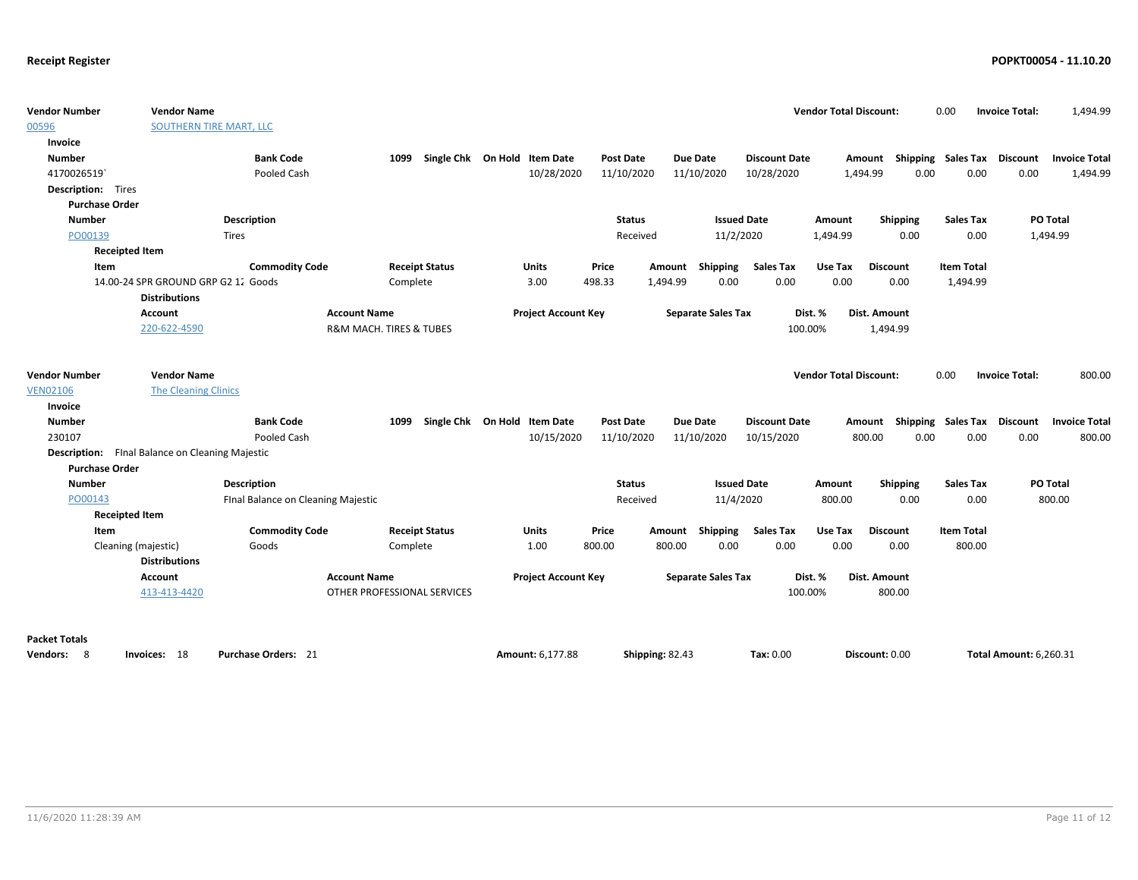| <b>Vendor Number</b><br>00596                          | <b>Vendor Name</b><br>SOUTHERN TIRE MART, LLC |                                    |                                        |                            |                  |                 |                           |                      | <b>Vendor Total Discount:</b> |                           | 0.00                      | <b>Invoice Total:</b>         | 1,494.99             |
|--------------------------------------------------------|-----------------------------------------------|------------------------------------|----------------------------------------|----------------------------|------------------|-----------------|---------------------------|----------------------|-------------------------------|---------------------------|---------------------------|-------------------------------|----------------------|
| Invoice                                                |                                               |                                    |                                        |                            |                  |                 |                           |                      |                               |                           |                           |                               |                      |
| <b>Number</b>                                          |                                               | <b>Bank Code</b>                   | Single Chk On Hold Item Date<br>1099   |                            | Post Date        |                 | Due Date                  | <b>Discount Date</b> |                               | Amount Shipping Sales Tax |                           | Discount                      | <b>Invoice Total</b> |
| 4170026519                                             |                                               | Pooled Cash                        |                                        | 10/28/2020                 | 11/10/2020       |                 | 11/10/2020                | 10/28/2020           |                               | 0.00<br>1,494.99          | 0.00                      | 0.00                          | 1,494.99             |
| <b>Description:</b> Tires                              |                                               |                                    |                                        |                            |                  |                 |                           |                      |                               |                           |                           |                               |                      |
| <b>Purchase Order</b>                                  |                                               |                                    |                                        |                            |                  |                 |                           |                      |                               |                           |                           |                               |                      |
| <b>Number</b>                                          |                                               | Description                        |                                        |                            | <b>Status</b>    |                 |                           | <b>Issued Date</b>   | Amount                        | Shipping                  | <b>Sales Tax</b>          | PO Total                      |                      |
| PO00139                                                | <b>Tires</b>                                  |                                    |                                        |                            | Received         |                 | 11/2/2020                 |                      | 1,494.99                      | 0.00                      | 0.00                      | 1,494.99                      |                      |
| <b>Receipted Item</b>                                  |                                               |                                    |                                        |                            |                  |                 |                           |                      |                               |                           |                           |                               |                      |
| Item                                                   |                                               | <b>Commodity Code</b>              | <b>Receipt Status</b>                  | Units                      | Price            | Amount          | Shipping                  | <b>Sales Tax</b>     | Use Tax                       | <b>Discount</b>           | <b>Item Total</b>         |                               |                      |
|                                                        | 14.00-24 SPR GROUND GRP G2 12 Goods           |                                    | Complete                               | 3.00                       | 498.33           | 1,494.99        | 0.00                      | 0.00                 | 0.00                          | 0.00                      | 1,494.99                  |                               |                      |
|                                                        | <b>Distributions</b>                          |                                    |                                        |                            |                  |                 |                           |                      |                               |                           |                           |                               |                      |
|                                                        | <b>Account</b>                                | <b>Account Name</b>                |                                        | <b>Project Account Key</b> |                  |                 | <b>Separate Sales Tax</b> |                      | Dist. %                       | Dist. Amount              |                           |                               |                      |
|                                                        | 220-622-4590                                  |                                    | <b>R&amp;M MACH. TIRES &amp; TUBES</b> |                            |                  |                 |                           | 100.00%              |                               | 1,494.99                  |                           |                               |                      |
|                                                        |                                               |                                    |                                        |                            |                  |                 |                           |                      |                               |                           |                           |                               |                      |
|                                                        |                                               |                                    |                                        |                            |                  |                 |                           |                      |                               |                           |                           |                               |                      |
| <b>Vendor Number</b>                                   | <b>Vendor Name</b>                            |                                    |                                        |                            |                  |                 |                           |                      | <b>Vendor Total Discount:</b> |                           | 0.00                      | <b>Invoice Total:</b>         | 800.00               |
| <b>VEN02106</b>                                        | <b>The Cleaning Clinics</b>                   |                                    |                                        |                            |                  |                 |                           |                      |                               |                           |                           |                               |                      |
| Invoice                                                |                                               |                                    |                                        |                            |                  |                 |                           |                      |                               |                           |                           |                               |                      |
| <b>Number</b>                                          |                                               | <b>Bank Code</b>                   | Single Chk On Hold Item Date<br>1099   |                            | <b>Post Date</b> |                 | Due Date                  | <b>Discount Date</b> |                               | Amount                    | <b>Shipping Sales Tax</b> | <b>Discount</b>               | <b>Invoice Total</b> |
| 230107                                                 |                                               | Pooled Cash                        |                                        | 10/15/2020                 | 11/10/2020       |                 | 11/10/2020                | 10/15/2020           |                               | 800.00<br>0.00            | 0.00                      | 0.00                          | 800.00               |
| <b>Description:</b> Final Balance on Cleaning Majestic |                                               |                                    |                                        |                            |                  |                 |                           |                      |                               |                           |                           |                               |                      |
| <b>Purchase Order</b>                                  |                                               |                                    |                                        |                            |                  |                 |                           |                      |                               |                           |                           |                               |                      |
| <b>Number</b>                                          |                                               | <b>Description</b>                 |                                        |                            | <b>Status</b>    |                 |                           | <b>Issued Date</b>   | Amount                        | Shipping                  | <b>Sales Tax</b>          | PO Total                      |                      |
| PO00143                                                |                                               | Final Balance on Cleaning Majestic |                                        |                            | Received         |                 | 11/4/2020                 |                      | 800.00                        | 0.00                      | 0.00                      |                               | 800.00               |
| <b>Receipted Item</b>                                  |                                               |                                    |                                        |                            |                  |                 |                           |                      |                               |                           |                           |                               |                      |
| Item                                                   |                                               | <b>Commodity Code</b>              | <b>Receipt Status</b>                  | <b>Units</b>               | Price            | Amount          | <b>Shipping</b>           | <b>Sales Tax</b>     | Use Tax                       | <b>Discount</b>           | <b>Item Total</b>         |                               |                      |
| Cleaning (majestic)                                    |                                               | Goods                              | Complete                               | 1.00                       | 800.00           | 800.00          | 0.00                      | 0.00                 | 0.00                          | 0.00                      | 800.00                    |                               |                      |
|                                                        | <b>Distributions</b>                          |                                    |                                        |                            |                  |                 |                           |                      |                               |                           |                           |                               |                      |
|                                                        | <b>Account</b>                                | <b>Account Name</b>                |                                        | <b>Project Account Key</b> |                  |                 | <b>Separate Sales Tax</b> |                      | Dist. %                       | <b>Dist. Amount</b>       |                           |                               |                      |
|                                                        | 413-413-4420                                  |                                    | OTHER PROFESSIONAL SERVICES            |                            |                  |                 |                           | 100.00%              |                               | 800.00                    |                           |                               |                      |
|                                                        |                                               |                                    |                                        |                            |                  |                 |                           |                      |                               |                           |                           |                               |                      |
| <b>Packet Totals</b>                                   |                                               |                                    |                                        |                            |                  |                 |                           |                      |                               |                           |                           |                               |                      |
| Vendors: 8                                             | Invoices: 18                                  | <b>Purchase Orders: 21</b>         |                                        | Amount: 6,177.88           |                  | Shipping: 82.43 |                           | Tax: 0.00            |                               | Discount: 0.00            |                           | <b>Total Amount: 6.260.31</b> |                      |